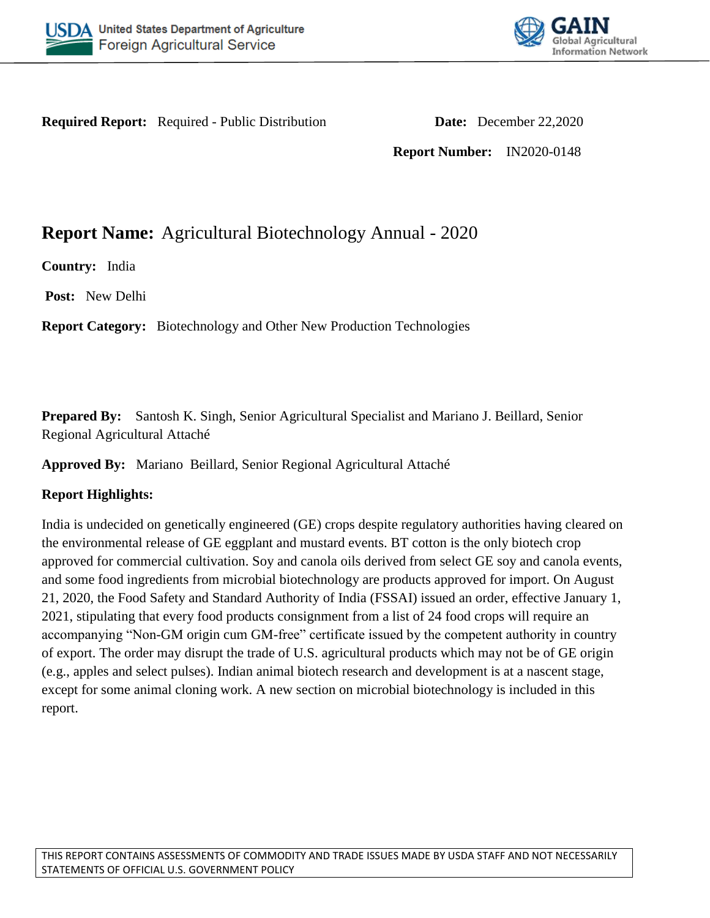



**Required Report:** Required - Public Distribution **Date:** December 22,2020

**Report Number:** IN2020-0148

# **Report Name:** Agricultural Biotechnology Annual - 2020

**Country:** India

**Post:** New Delhi

**Report Category:** Biotechnology and Other New Production Technologies

**Prepared By:** Santosh K. Singh, Senior Agricultural Specialist and Mariano J. Beillard, Senior Regional Agricultural Attaché

**Approved By:** Mariano Beillard, Senior Regional Agricultural Attaché

## **Report Highlights:**

India is undecided on genetically engineered (GE) crops despite regulatory authorities having cleared on the environmental release of GE eggplant and mustard events. BT cotton is the only biotech crop approved for commercial cultivation. Soy and canola oils derived from select GE soy and canola events, and some food ingredients from microbial biotechnology are products approved for import. On August 21, 2020, the Food Safety and Standard Authority of India (FSSAI) issued an order, effective January 1, 2021, stipulating that every food products consignment from a list of 24 food crops will require an accompanying "Non-GM origin cum GM-free" certificate issued by the competent authority in country of export. The order may disrupt the trade of U.S. agricultural products which may not be of GE origin (e.g., apples and select pulses). Indian animal biotech research and development is at a nascent stage, except for some animal cloning work. A new section on microbial biotechnology is included in this report.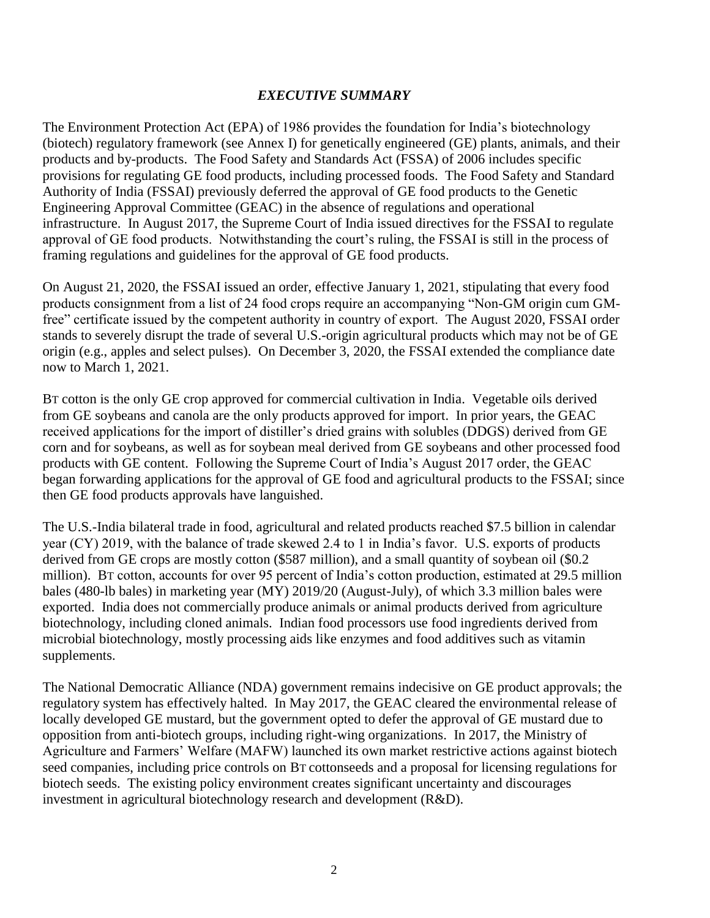## *EXECUTIVE SUMMARY*

The Environment Protection Act (EPA) of 1986 provides the foundation for India's biotechnology (biotech) regulatory framework (see Annex I) for genetically engineered (GE) plants, animals, and their products and by-products. The Food Safety and Standards Act (FSSA) of 2006 includes specific provisions for regulating GE food products, including processed foods. The Food Safety and Standard Authority of India (FSSAI) previously deferred the approval of GE food products to the Genetic Engineering Approval Committee (GEAC) in the absence of regulations and operational infrastructure. In August 2017, the Supreme Court of India issued directives for the FSSAI to regulate approval of GE food products. Notwithstanding the court's ruling, the FSSAI is still in the process of framing regulations and guidelines for the approval of GE food products.

On August 21, 2020, the FSSAI issued an order, effective January 1, 2021, stipulating that every food products consignment from a list of 24 food crops require an accompanying "Non-GM origin cum GMfree" certificate issued by the competent authority in country of export. The August 2020, FSSAI order stands to severely disrupt the trade of several U.S.-origin agricultural products which may not be of GE origin (e.g., apples and select pulses). On December 3, 2020, the FSSAI extended the compliance date now to March 1, 2021.

BT cotton is the only GE crop approved for commercial cultivation in India. Vegetable oils derived from GE soybeans and canola are the only products approved for import. In prior years, the GEAC received applications for the import of distiller's dried grains with solubles (DDGS) derived from GE corn and for soybeans, as well as for soybean meal derived from GE soybeans and other processed food products with GE content. Following the Supreme Court of India's August 2017 order, the GEAC began forwarding applications for the approval of GE food and agricultural products to the FSSAI; since then GE food products approvals have languished.

The U.S.-India bilateral trade in food, agricultural and related products reached \$7.5 billion in calendar year (CY) 2019, with the balance of trade skewed 2.4 to 1 in India's favor. U.S. exports of products derived from GE crops are mostly cotton (\$587 million), and a small quantity of soybean oil (\$0.2 million). BT cotton, accounts for over 95 percent of India's cotton production, estimated at 29.5 million bales (480-lb bales) in marketing year (MY) 2019/20 (August-July), of which 3.3 million bales were exported. India does not commercially produce animals or animal products derived from agriculture biotechnology, including cloned animals. Indian food processors use food ingredients derived from microbial biotechnology, mostly processing aids like enzymes and food additives such as vitamin supplements.

The National Democratic Alliance (NDA) government remains indecisive on GE product approvals; the regulatory system has effectively halted. In May 2017, the GEAC cleared the environmental release of locally developed GE mustard, but the government opted to defer the approval of GE mustard due to opposition from anti-biotech groups, including right-wing organizations. In 2017, the Ministry of Agriculture and Farmers' Welfare (MAFW) launched its own market restrictive actions against biotech seed companies, including price controls on BT cottonseeds and a proposal for licensing regulations for biotech seeds. The existing policy environment creates significant uncertainty and discourages investment in agricultural biotechnology research and development (R&D).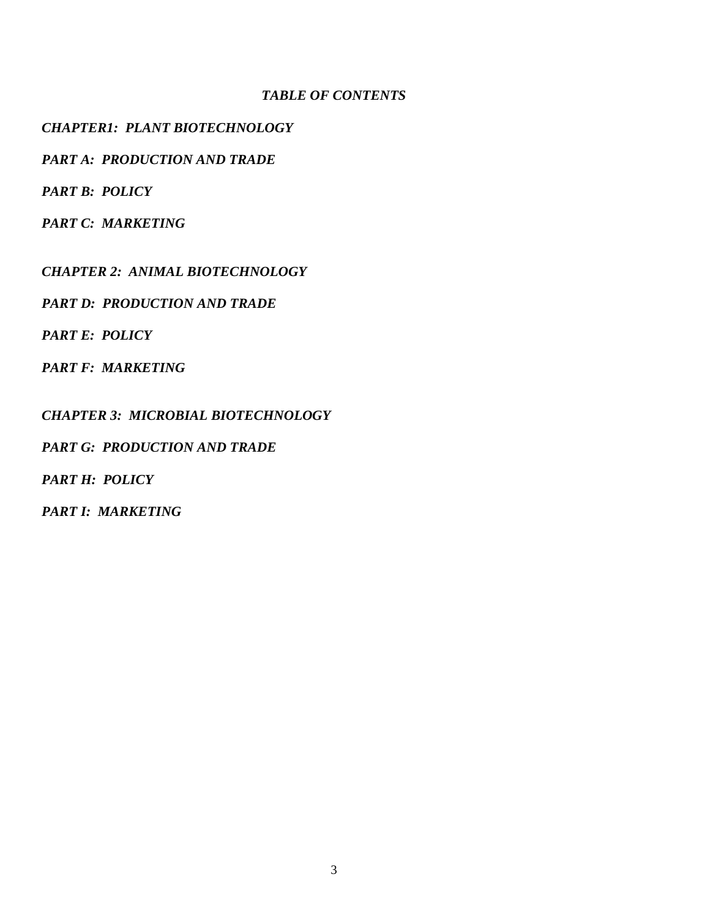## *TABLE OF CONTENTS*

## *CHAPTER1: PLANT BIOTECHNOLOGY*

*PART A: PRODUCTION AND TRADE* 

*PART B: POLICY*

*PART C: MARKETING*

*CHAPTER 2: ANIMAL BIOTECHNOLOGY*

*PART D: PRODUCTION AND TRADE* 

*PART E: POLICY*

*PART F: MARKETING*

*CHAPTER 3: MICROBIAL BIOTECHNOLOGY*

*PART G: PRODUCTION AND TRADE* 

*PART H: POLICY*

*PART I: MARKETING*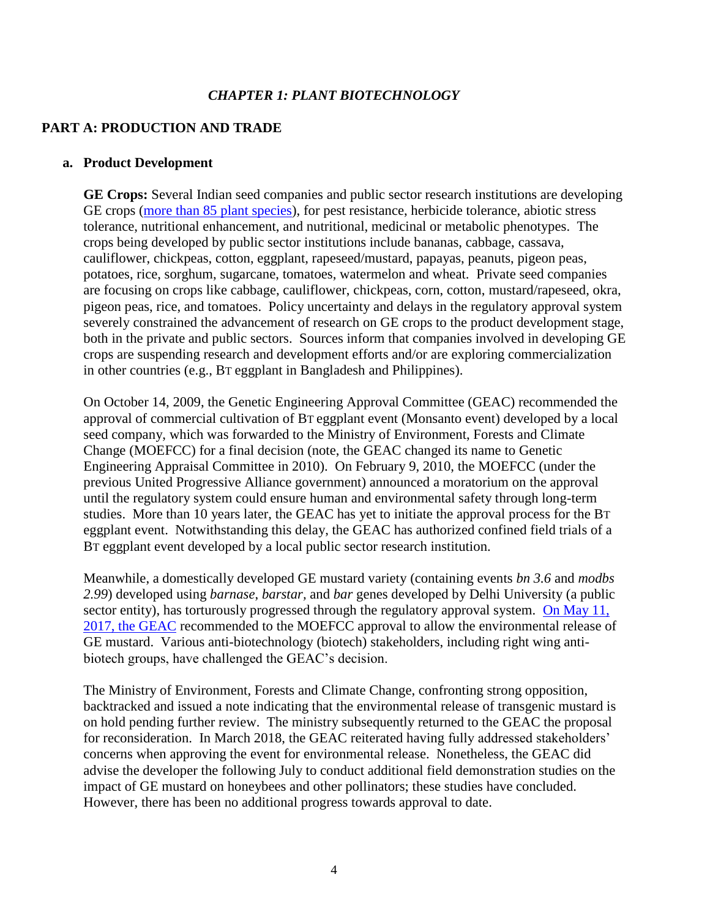## *CHAPTER 1: PLANT BIOTECHNOLOGY*

## **PART A: PRODUCTION AND TRADE**

#### **a. Product Development**

**GE Crops:** Several Indian seed companies and public sector research institutions are developing GE crops [\(more than 85 plant species\)](http://www.geacindia.gov.in/resource-documents/05-GE_Plants_in_the_Product_Development_Pipeline_in_India_Results_from_a_Survey.pdf), for pest resistance, herbicide tolerance, abiotic stress tolerance, nutritional enhancement, and nutritional, medicinal or metabolic phenotypes. The crops being developed by public sector institutions include bananas, cabbage, cassava, cauliflower, chickpeas, cotton, eggplant, rapeseed/mustard, papayas, peanuts, pigeon peas, potatoes, rice, sorghum, sugarcane, tomatoes, watermelon and wheat. Private seed companies are focusing on crops like cabbage, cauliflower, chickpeas, corn, cotton, mustard/rapeseed, okra, pigeon peas, rice, and tomatoes. Policy uncertainty and delays in the regulatory approval system severely constrained the advancement of research on GE crops to the product development stage, both in the private and public sectors. Sources inform that companies involved in developing GE crops are suspending research and development efforts and/or are exploring commercialization in other countries (e.g., BT eggplant in Bangladesh and Philippines).

On October 14, 2009, the Genetic Engineering Approval Committee (GEAC) recommended the approval of commercial cultivation of BT eggplant event (Monsanto event) developed by a local seed company, which was forwarded to the Ministry of Environment, Forests and Climate Change (MOEFCC) for a final decision (note, the GEAC changed its name to Genetic Engineering Appraisal Committee in 2010). On February 9, 2010, the MOEFCC (under the previous United Progressive Alliance government) announced a moratorium on the approval until the regulatory system could ensure human and environmental safety through long-term studies. More than 10 years later, the GEAC has yet to initiate the approval process for the BT eggplant event. Notwithstanding this delay, the GEAC has authorized confined field trials of a BT eggplant event developed by a local public sector research institution.

Meanwhile, a domestically developed GE mustard variety (containing events *bn 3.6* and *modbs 2.99*) developed using *barnase*, *barstar,* and *bar* genes developed by Delhi University (a public sector entity), has torturously progressed through the regulatory approval system. On May 11, [2017, the GEAC](http://www.geacindia.gov.in/Uploads/MoMPublished/2017-geac-133.pdf) recommended to the MOEFCC approval to allow the environmental release of GE mustard. Various anti-biotechnology (biotech) stakeholders, including right wing antibiotech groups, have challenged the GEAC's decision.

The Ministry of Environment, Forests and Climate Change, confronting strong opposition, backtracked and issued a note indicating that the environmental release of transgenic mustard is on hold pending further review. The ministry subsequently returned to the GEAC the proposal for reconsideration. In March 2018, the GEAC reiterated having fully addressed stakeholders' concerns when approving the event for environmental release. Nonetheless, the GEAC did advise the developer the following July to conduct additional field demonstration studies on the impact of GE mustard on honeybees and other pollinators; these studies have concluded. However, there has been no additional progress towards approval to date.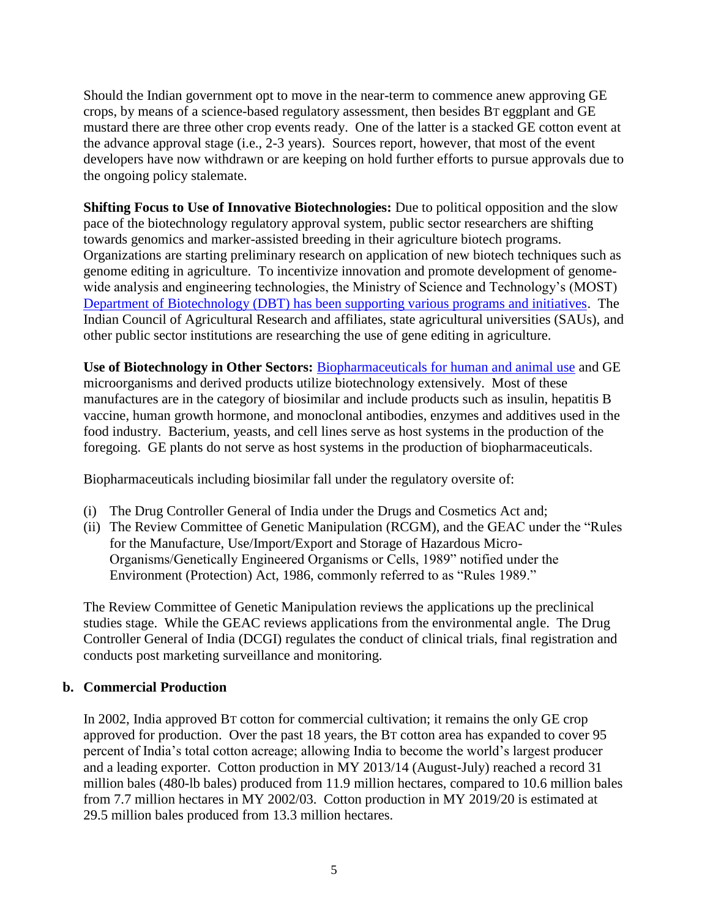Should the Indian government opt to move in the near-term to commence anew approving GE crops, by means of a science-based regulatory assessment, then besides BT eggplant and GE mustard there are three other crop events ready. One of the latter is a stacked GE cotton event at the advance approval stage (i.e., 2-3 years). Sources report, however, that most of the event developers have now withdrawn or are keeping on hold further efforts to pursue approvals due to the ongoing policy stalemate.

**Shifting Focus to Use of Innovative Biotechnologies:** Due to political opposition and the slow pace of the biotechnology regulatory approval system, public sector researchers are shifting towards genomics and marker-assisted breeding in their agriculture biotech programs. Organizations are starting preliminary research on application of new biotech techniques such as genome editing in agriculture. To incentivize innovation and promote development of genomewide analysis and engineering technologies, the Ministry of Science and Technology's (MOST) [Department of Biotechnology \(DBT\) has been supporting various programs and initiatives.](http://dbtindia.gov.in/schemes-programmes/research-development/knowledge-generation-discovery-research-new-tools-and-1) The Indian Council of Agricultural Research and affiliates, state agricultural universities (SAUs), and other public sector institutions are researching the use of gene editing in agriculture.

**Use of Biotechnology in Other Sectors:** [Biopharmaceuticals for human and animal use](http://geacindia.gov.in/approved-products.aspx) and GE microorganisms and derived products utilize biotechnology extensively. Most of these manufactures are in the category of biosimilar and include products such as insulin, hepatitis B vaccine, human growth hormone, and monoclonal antibodies, enzymes and additives used in the food industry. Bacterium, yeasts, and cell lines serve as host systems in the production of the foregoing. GE plants do not serve as host systems in the production of biopharmaceuticals.

Biopharmaceuticals including biosimilar fall under the regulatory oversite of:

- (i) The Drug Controller General of India under the Drugs and Cosmetics Act and;
- (ii) The Review Committee of Genetic Manipulation (RCGM), and the GEAC under the "Rules for the Manufacture, Use/Import/Export and Storage of Hazardous Micro-Organisms/Genetically Engineered Organisms or Cells, 1989" notified under the Environment (Protection) Act, 1986, commonly referred to as "Rules 1989."

The Review Committee of Genetic Manipulation reviews the applications up the preclinical studies stage. While the GEAC reviews applications from the environmental angle. The Drug Controller General of India (DCGI) regulates the conduct of clinical trials, final registration and conducts post marketing surveillance and monitoring.

#### **b. Commercial Production**

In 2002, India approved BT cotton for commercial cultivation; it remains the only GE crop approved for production. Over the past 18 years, the BT cotton area has expanded to cover 95 percent of India's total cotton acreage; allowing India to become the world's largest producer and a leading exporter. Cotton production in MY 2013/14 (August-July) reached a record 31 million bales (480-lb bales) produced from 11.9 million hectares, compared to 10.6 million bales from 7.7 million hectares in MY 2002/03. Cotton production in MY 2019/20 is estimated at 29.5 million bales produced from 13.3 million hectares.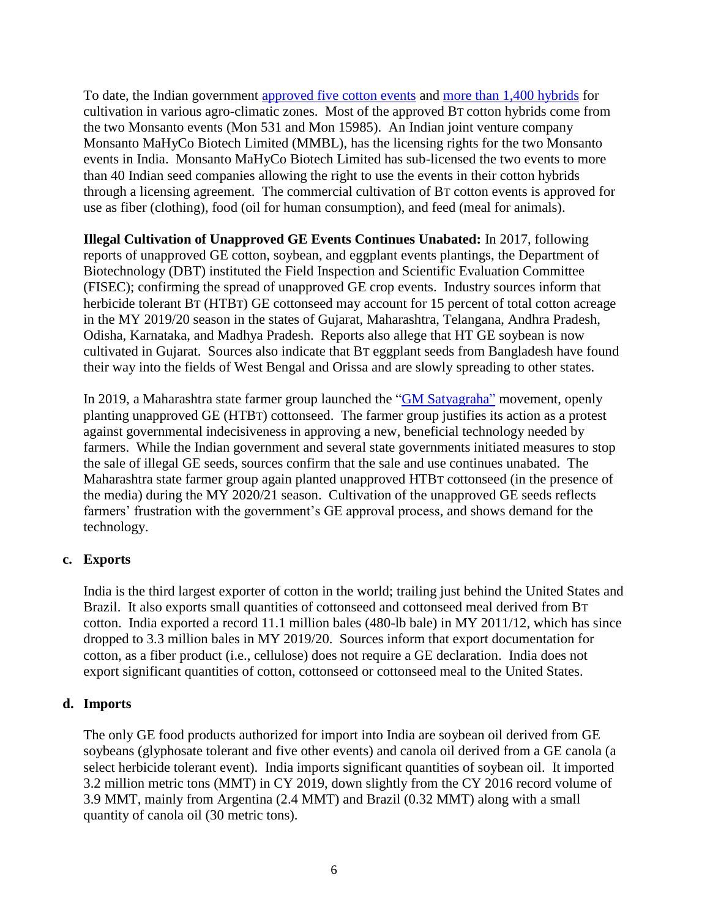To date, the Indian government [approved five cotton events](http://www.geacindia.gov.in/biosafety-data-approved-GM-crops.aspx) and [more than 1,400 hybrids](http://www.geacindia.gov.in/resource-documents/approved-products/Final_commercially_approved.pdf) for cultivation in various agro-climatic zones. Most of the approved BT cotton hybrids come from the two Monsanto events (Mon 531 and Mon 15985). An Indian joint venture company Monsanto MaHyCo Biotech Limited (MMBL), has the licensing rights for the two Monsanto events in India. Monsanto MaHyCo Biotech Limited has sub-licensed the two events to more than 40 Indian seed companies allowing the right to use the events in their cotton hybrids through a licensing agreement. The commercial cultivation of BT cotton events is approved for use as fiber (clothing), food (oil for human consumption), and feed (meal for animals).

**Illegal Cultivation of Unapproved GE Events Continues Unabated:** In 2017, following reports of unapproved GE cotton, soybean, and eggplant events plantings, the Department of Biotechnology (DBT) instituted the Field Inspection and Scientific Evaluation Committee (FISEC); confirming the spread of unapproved GE crop events. Industry sources inform that herbicide tolerant BT (HTBT) GE cottonseed may account for 15 percent of total cotton acreage in the MY 2019/20 season in the states of Gujarat, Maharashtra, Telangana, Andhra Pradesh, Odisha, Karnataka, and Madhya Pradesh. Reports also allege that HT GE soybean is now cultivated in Gujarat. Sources also indicate that BT eggplant seeds from Bangladesh have found their way into the fields of West Bengal and Orissa and are slowly spreading to other states.

In 2019, a Maharashtra state farmer group launched the ["GM Satyagraha"](https://allianceforscience.cornell.edu/blog/2019/06/indian-farmers-plant-gmo-seeds-civil-disobedience-satyagraha-protest/) movement, openly planting unapproved GE (HTBT) cottonseed. The farmer group justifies its action as a protest against governmental indecisiveness in approving a new, beneficial technology needed by farmers. While the Indian government and several state governments initiated measures to stop the sale of illegal GE seeds, sources confirm that the sale and use continues unabated. The Maharashtra state farmer group again planted unapproved HTBT cottonseed (in the presence of the media) during the MY 2020/21 season. Cultivation of the unapproved GE seeds reflects farmers' frustration with the government's GE approval process, and shows demand for the technology.

## **c. Exports**

India is the third largest exporter of cotton in the world; trailing just behind the United States and Brazil. It also exports small quantities of cottonseed and cottonseed meal derived from BT cotton. India exported a record 11.1 million bales (480-lb bale) in MY 2011/12, which has since dropped to 3.3 million bales in MY 2019/20. Sources inform that export documentation for cotton, as a fiber product (i.e., cellulose) does not require a GE declaration. India does not export significant quantities of cotton, cottonseed or cottonseed meal to the United States.

#### **d. Imports**

The only GE food products authorized for import into India are soybean oil derived from GE soybeans (glyphosate tolerant and five other events) and canola oil derived from a GE canola (a select herbicide tolerant event). India imports significant quantities of soybean oil. It imported 3.2 million metric tons (MMT) in CY 2019, down slightly from the CY 2016 record volume of 3.9 MMT, mainly from Argentina (2.4 MMT) and Brazil (0.32 MMT) along with a small quantity of canola oil (30 metric tons).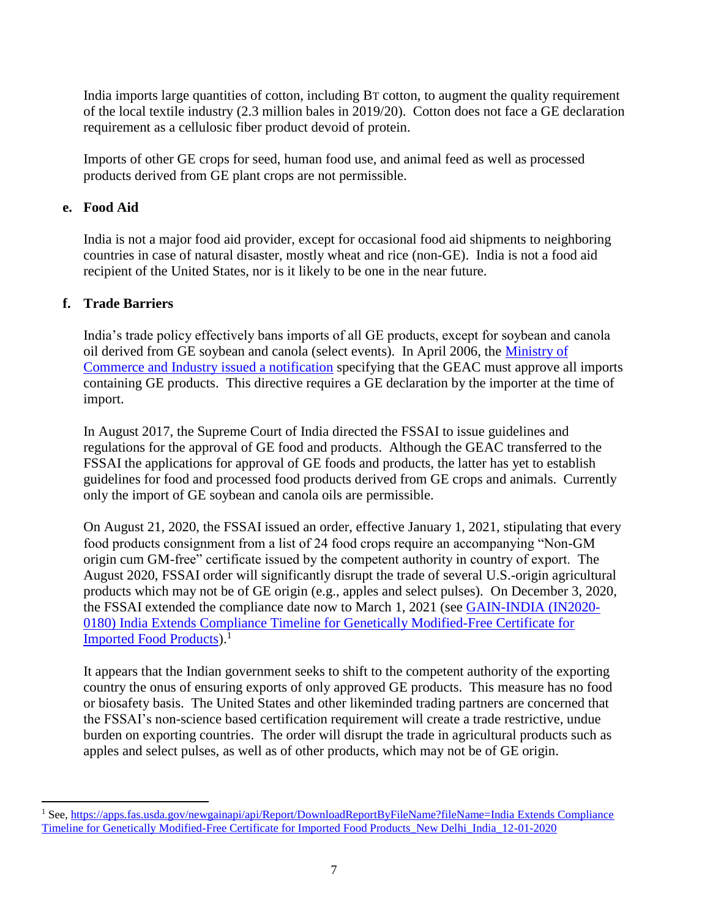India imports large quantities of cotton, including BT cotton, to augment the quality requirement of the local textile industry (2.3 million bales in 2019/20). Cotton does not face a GE declaration requirement as a cellulosic fiber product devoid of protein.

Imports of other GE crops for seed, human food use, and animal feed as well as processed products derived from GE plant crops are not permissible.

## **e. Food Aid**

India is not a major food aid provider, except for occasional food aid shipments to neighboring countries in case of natural disaster, mostly wheat and rice (non-GE). India is not a food aid recipient of the United States, nor is it likely to be one in the near future.

## **f. Trade Barriers**

 $\overline{a}$ 

India's trade policy effectively bans imports of all GE products, except for soybean and canola oil derived from GE soybean and canola (select events). In April 2006, the [Ministry of](http://dgftcom.nic.in/exim/2000/not/not06/not0206.htm)  [Commerce and Industry issued a notification](http://dgftcom.nic.in/exim/2000/not/not06/not0206.htm) specifying that the GEAC must approve all imports containing GE products. This directive requires a GE declaration by the importer at the time of import.

In August 2017, the Supreme Court of India directed the FSSAI to issue guidelines and regulations for the approval of GE food and products. Although the GEAC transferred to the FSSAI the applications for approval of GE foods and products, the latter has yet to establish guidelines for food and processed food products derived from GE crops and animals. Currently only the import of GE soybean and canola oils are permissible.

On August 21, 2020, the FSSAI issued an order, effective January 1, 2021, stipulating that every food products consignment from a list of 24 food crops require an accompanying "Non-GM origin cum GM-free" certificate issued by the competent authority in country of export. The August 2020, FSSAI order will significantly disrupt the trade of several U.S.-origin agricultural products which may not be of GE origin (e.g., apples and select pulses). On December 3, 2020, the FSSAI extended the compliance date now to March 1, 2021 (see [GAIN-INDIA \(IN2020-](https://apps.fas.usda.gov/newgainapi/api/Report/DownloadReportByFileName?fileName=India%20Extends%20Compliance%20Timeline%20for%20Genetically%20Modified-Free%20Certificate%20for%20Imported%20Food%20Products_New%20Delhi_India_12-01-2020) [0180\) India Extends Compliance Timeline for Genetically Modified-Free Certificate for](https://apps.fas.usda.gov/newgainapi/api/Report/DownloadReportByFileName?fileName=India%20Extends%20Compliance%20Timeline%20for%20Genetically%20Modified-Free%20Certificate%20for%20Imported%20Food%20Products_New%20Delhi_India_12-01-2020)  [Imported Food Products\)](https://apps.fas.usda.gov/newgainapi/api/Report/DownloadReportByFileName?fileName=India%20Extends%20Compliance%20Timeline%20for%20Genetically%20Modified-Free%20Certificate%20for%20Imported%20Food%20Products_New%20Delhi_India_12-01-2020).<sup>1</sup>

It appears that the Indian government seeks to shift to the competent authority of the exporting country the onus of ensuring exports of only approved GE products. This measure has no food or biosafety basis. The United States and other likeminded trading partners are concerned that the FSSAI's non-science based certification requirement will create a trade restrictive, undue burden on exporting countries. The order will disrupt the trade in agricultural products such as apples and select pulses, as well as of other products, which may not be of GE origin.

<sup>&</sup>lt;sup>1</sup> See, https://apps.fas.usda.gov/newgainapi/api/Report/DownloadReportByFileName?fileName=India Extends Compliance [Timeline for Genetically Modified-Free Certificate for Imported Food Products\\_New Delhi\\_India\\_12-01-2020](https://apps.fas.usda.gov/newgainapi/api/Report/DownloadReportByFileName?fileName=India%20Extends%20Compliance%20Timeline%20for%20Genetically%20Modified-Free%20Certificate%20for%20Imported%20Food%20Products_New%20Delhi_India_12-01-2020)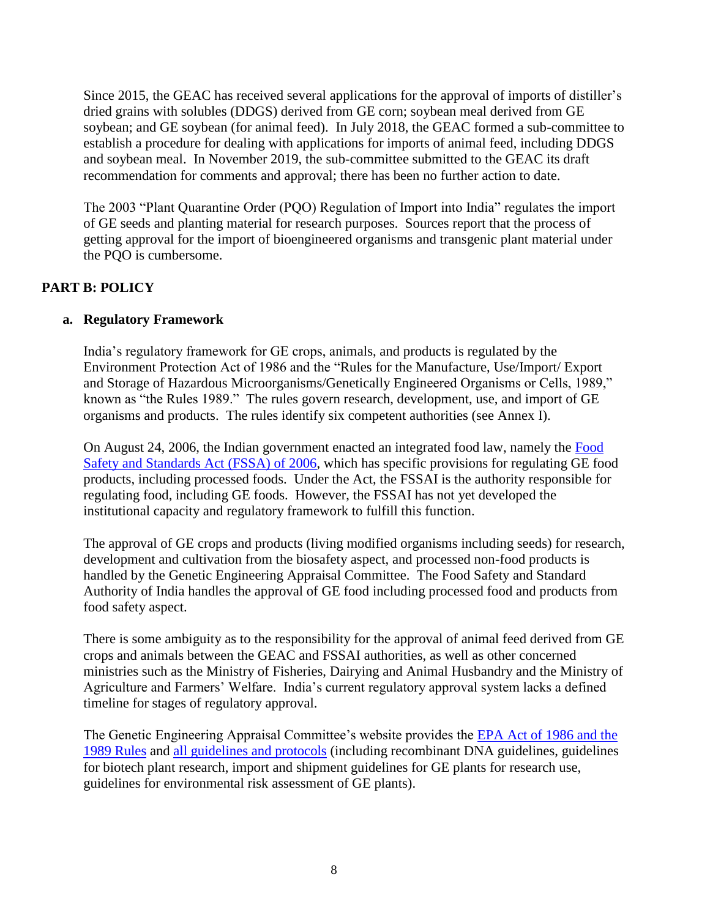Since 2015, the GEAC has received several applications for the approval of imports of distiller's dried grains with solubles (DDGS) derived from GE corn; soybean meal derived from GE soybean; and GE soybean (for animal feed). In July 2018, the GEAC formed a sub-committee to establish a procedure for dealing with applications for imports of animal feed, including DDGS and soybean meal. In November 2019, the sub-committee submitted to the GEAC its draft recommendation for comments and approval; there has been no further action to date.

The 2003 "Plant Quarantine Order (PQO) Regulation of Import into India" regulates the import of GE seeds and planting material for research purposes. Sources report that the process of getting approval for the import of bioengineered organisms and transgenic plant material under the PQO is cumbersome.

## **PART B: POLICY**

## **a. Regulatory Framework**

India's regulatory framework for GE crops, animals, and products is regulated by the Environment Protection Act of 1986 and the "Rules for the Manufacture, Use/Import/ Export and Storage of Hazardous Microorganisms/Genetically Engineered Organisms or Cells, 1989," known as "the Rules 1989." The rules govern research, development, use, and import of GE organisms and products. The rules identify six competent authorities (see Annex I).

On August 24, 2006, the Indian government enacted an integrated food law, namely the [Food](https://fssai.gov.in/cms/food-safety-and-standards-act-2006.php#:~:text=An%20Act%20to%20consolidate%20the,and%20wholesome%20food%20for%20human)  [Safety and Standards Act \(FSSA\) of 2006,](https://fssai.gov.in/cms/food-safety-and-standards-act-2006.php#:~:text=An%20Act%20to%20consolidate%20the,and%20wholesome%20food%20for%20human) which has specific provisions for regulating GE food products, including processed foods. Under the Act, the FSSAI is the authority responsible for regulating food, including GE foods. However, the FSSAI has not yet developed the institutional capacity and regulatory framework to fulfill this function.

The approval of GE crops and products (living modified organisms including seeds) for research, development and cultivation from the biosafety aspect, and processed non-food products is handled by the Genetic Engineering Appraisal Committee. The Food Safety and Standard Authority of India handles the approval of GE food including processed food and products from food safety aspect.

There is some ambiguity as to the responsibility for the approval of animal feed derived from GE crops and animals between the GEAC and FSSAI authorities, as well as other concerned ministries such as the Ministry of Fisheries, Dairying and Animal Husbandry and the Ministry of Agriculture and Farmers' Welfare. India's current regulatory approval system lacks a defined timeline for stages of regulatory approval.

The Genetic Engineering Appraisal Committee's website provides the [EPA Act of 1986 and the](http://www.geacindia.gov.in/acts-and-rules.aspx)  [1989 Rules](http://www.geacindia.gov.in/acts-and-rules.aspx) and [all guidelines and protocols](http://www.geacindia.gov.in/guidelines-and-protocols.aspx) (including recombinant DNA guidelines, guidelines for biotech plant research, import and shipment guidelines for GE plants for research use, guidelines for environmental risk assessment of GE plants).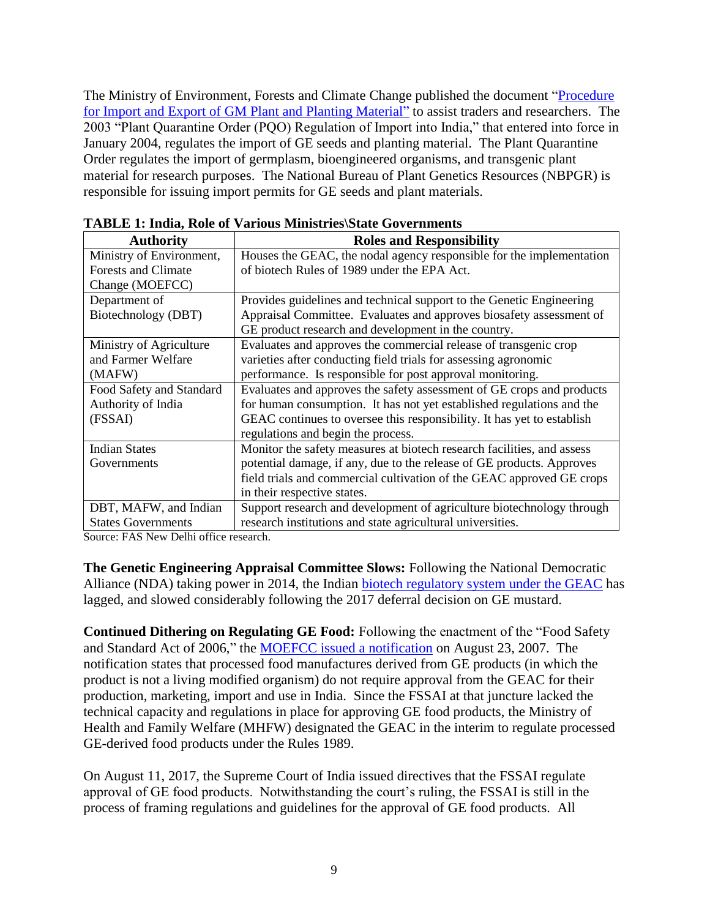The Ministry of Environment, Forests and Climate Change published the document "Procedure" [for Import and Export of GM Plant and Planting Material"](http://www.geacindia.gov.in/resource-documents/17_4-Procedure_of_Import_and_Export_of_GM_Plant.pdf) to assist traders and researchers. The 2003 "Plant Quarantine Order (PQO) Regulation of Import into India," that entered into force in January 2004, regulates the import of GE seeds and planting material. The Plant Quarantine Order regulates the import of germplasm, bioengineered organisms, and transgenic plant material for research purposes. The National Bureau of Plant Genetics Resources (NBPGR) is responsible for issuing import permits for GE seeds and plant materials.

| <b>Authority</b>                      | <b>Roles and Responsibility</b>                                        |
|---------------------------------------|------------------------------------------------------------------------|
| Ministry of Environment,              | Houses the GEAC, the nodal agency responsible for the implementation   |
| <b>Forests and Climate</b>            | of biotech Rules of 1989 under the EPA Act.                            |
| Change (MOEFCC)                       |                                                                        |
| Department of                         | Provides guidelines and technical support to the Genetic Engineering   |
| Biotechnology (DBT)                   | Appraisal Committee. Evaluates and approves biosafety assessment of    |
|                                       | GE product research and development in the country.                    |
| Ministry of Agriculture               | Evaluates and approves the commercial release of transgenic crop       |
| and Farmer Welfare                    | varieties after conducting field trials for assessing agronomic        |
| (MAFW)                                | performance. Is responsible for post approval monitoring.              |
| Food Safety and Standard              | Evaluates and approves the safety assessment of GE crops and products  |
| Authority of India                    | for human consumption. It has not yet established regulations and the  |
| (FSSAI)                               | GEAC continues to oversee this responsibility. It has yet to establish |
|                                       | regulations and begin the process.                                     |
| <b>Indian States</b>                  | Monitor the safety measures at biotech research facilities, and assess |
| Governments                           | potential damage, if any, due to the release of GE products. Approves  |
|                                       | field trials and commercial cultivation of the GEAC approved GE crops  |
|                                       | in their respective states.                                            |
| DBT, MAFW, and Indian                 | Support research and development of agriculture biotechnology through  |
| <b>States Governments</b>             | research institutions and state agricultural universities.             |
| Source: FAS New Delhi office research |                                                                        |

| <b>TABLE 1: India, Role of Various Ministries State Governments</b> |
|---------------------------------------------------------------------|
|---------------------------------------------------------------------|

Source: FAS New Delhi office research.

**The Genetic Engineering Appraisal Committee Slows:** Following the National Democratic Alliance (NDA) taking power in 2014, the Indian [biotech regulatory system under the GEAC](http://www.geacindia.gov.in/decisions-of-GEAC-meetings.aspx) has lagged, and slowed considerably following the 2017 deferral decision on GE mustard.

**Continued Dithering on Regulating GE Food:** Following the enactment of the "Food Safety and Standard Act of 2006," the [MOEFCC issued a notification](http://www.geacindia.gov.in/resource-documents/biosafety-regulations/acts-and-rules/MoEF_gazette_notification_SO_1519-E_Rule11.pdf) on August 23, 2007. The notification states that processed food manufactures derived from GE products (in which the product is not a living modified organism) do not require approval from the GEAC for their production, marketing, import and use in India. Since the FSSAI at that juncture lacked the technical capacity and regulations in place for approving GE food products, the Ministry of Health and Family Welfare (MHFW) designated the GEAC in the interim to regulate processed GE-derived food products under the Rules 1989.

On August 11, 2017, the Supreme Court of India issued directives that the FSSAI regulate approval of GE food products. Notwithstanding the court's ruling, the FSSAI is still in the process of framing regulations and guidelines for the approval of GE food products. All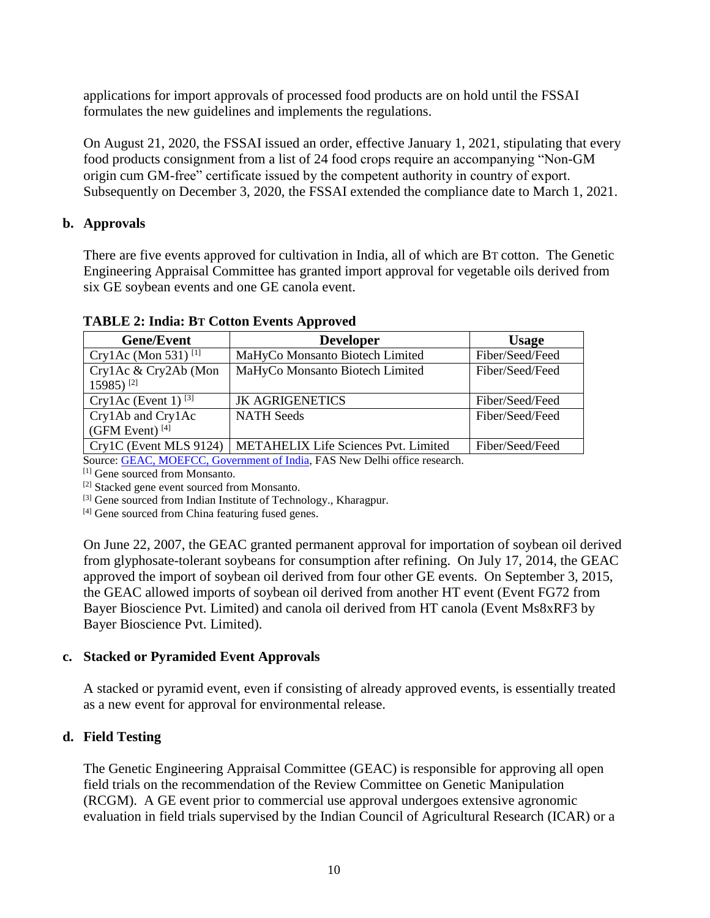applications for import approvals of processed food products are on hold until the FSSAI formulates the new guidelines and implements the regulations.

On August 21, 2020, the FSSAI issued an order, effective January 1, 2021, stipulating that every food products consignment from a list of 24 food crops require an accompanying "Non-GM origin cum GM-free" certificate issued by the competent authority in country of export. Subsequently on December 3, 2020, the FSSAI extended the compliance date to March 1, 2021.

## **b. Approvals**

There are five events approved for cultivation in India, all of which are BT cotton. The Genetic Engineering Appraisal Committee has granted import approval for vegetable oils derived from six GE soybean events and one GE canola event.

| <b>Gene/Event</b>                                     | <b>Developer</b>                            | <b>Usage</b>    |  |  |
|-------------------------------------------------------|---------------------------------------------|-----------------|--|--|
| Cry1Ac (Mon 531) <sup>[1]</sup>                       | MaHyCo Monsanto Biotech Limited             | Fiber/Seed/Feed |  |  |
| Cry1Ac & Cry2Ab (Mon<br>15985) <sup>[2]</sup>         | MaHyCo Monsanto Biotech Limited             | Fiber/Seed/Feed |  |  |
| Cry1Ac (Event 1) <sup>[3]</sup>                       | <b>JK AGRIGENETICS</b>                      | Fiber/Seed/Feed |  |  |
| Cry1Ab and Cry1Ac<br>(GFM Event) $^{[4]}$             | <b>NATH Seeds</b>                           | Fiber/Seed/Feed |  |  |
| Cry1C (Event MLS 9124)                                | <b>METAHELIX Life Sciences Pvt. Limited</b> | Fiber/Seed/Feed |  |  |
| $\alpha$ $\alpha$ $\alpha$ $\alpha$ $\alpha$ $\alpha$ |                                             |                 |  |  |

**TABLE 2: India: BT Cotton Events Approved**

Source[: GEAC, MOEFCC, Government of In](http://www.geacindia.gov.in/biosafety-data-approved-GM-crops.aspx)dia, FAS New Delhi office research.

[1] Gene sourced from Monsanto.

[2] Stacked gene event sourced from Monsanto.

[3] Gene sourced from Indian Institute of Technology., Kharagpur.

[4] Gene sourced from China featuring fused genes.

On June 22, 2007, the GEAC granted permanent approval for importation of soybean oil derived from glyphosate-tolerant soybeans for consumption after refining. On July 17, 2014, the GEAC approved the import of soybean oil derived from four other GE events. On September 3, 2015, the GEAC allowed imports of soybean oil derived from another HT event (Event FG72 from Bayer Bioscience Pvt. Limited) and canola oil derived from HT canola (Event Ms8xRF3 by Bayer Bioscience Pvt. Limited).

## **c. Stacked or Pyramided Event Approvals**

A stacked or pyramid event, even if consisting of already approved events, is essentially treated as a new event for approval for environmental release.

## **d. Field Testing**

The Genetic Engineering Appraisal Committee (GEAC) is responsible for approving all open field trials on the recommendation of the Review Committee on Genetic Manipulation (RCGM). A GE event prior to commercial use approval undergoes extensive agronomic evaluation in field trials supervised by the Indian Council of Agricultural Research (ICAR) or a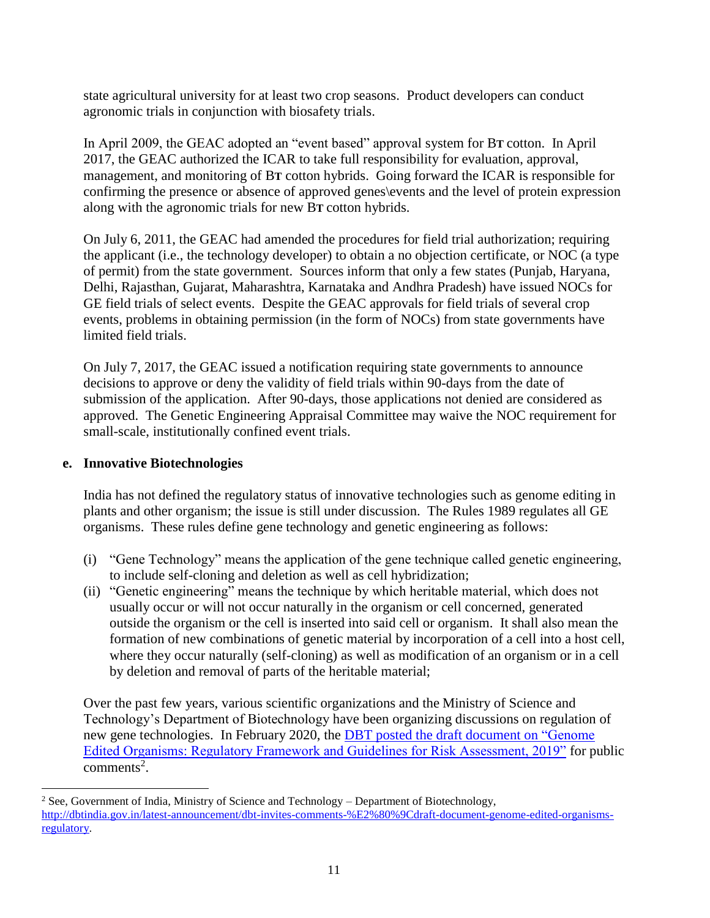state agricultural university for at least two crop seasons. Product developers can conduct agronomic trials in conjunction with biosafety trials.

In April 2009, the GEAC adopted an "event based" approval system for B**T** cotton. In April 2017, the GEAC authorized the ICAR to take full responsibility for evaluation, approval, management, and monitoring of B**T** cotton hybrids. Going forward the ICAR is responsible for confirming the presence or absence of approved genes\events and the level of protein expression along with the agronomic trials for new B**T** cotton hybrids.

On July 6, 2011, the GEAC had amended the procedures for field trial authorization; requiring the applicant (i.e., the technology developer) to obtain a no objection certificate, or NOC (a type of permit) from the state government. Sources inform that only a few states (Punjab, Haryana, Delhi, Rajasthan, Gujarat, Maharashtra, Karnataka and Andhra Pradesh) have issued NOCs for GE field trials of select events. Despite the GEAC approvals for field trials of several crop events, problems in obtaining permission (in the form of NOCs) from state governments have limited field trials.

On July 7, 2017, the GEAC issued a notification requiring state governments to announce decisions to approve or deny the validity of field trials within 90-days from the date of submission of the application. After 90-days, those applications not denied are considered as approved. The Genetic Engineering Appraisal Committee may waive the NOC requirement for small-scale, institutionally confined event trials.

## **e. Innovative Biotechnologies**

 $\overline{\phantom{a}}$ 

India has not defined the regulatory status of innovative technologies such as genome editing in plants and other organism; the issue is still under discussion. The Rules 1989 regulates all GE organisms. These rules define gene technology and genetic engineering as follows:

- (i) "Gene Technology" means the application of the gene technique called genetic engineering, to include self-cloning and deletion as well as cell hybridization;
- (ii) "Genetic engineering" means the technique by which heritable material, which does not usually occur or will not occur naturally in the organism or cell concerned, generated outside the organism or the cell is inserted into said cell or organism. It shall also mean the formation of new combinations of genetic material by incorporation of a cell into a host cell, where they occur naturally (self-cloning) as well as modification of an organism or in a cell by deletion and removal of parts of the heritable material;

Over the past few years, various scientific organizations and the Ministry of Science and Technology's Department of Biotechnology have been organizing discussions on regulation of new gene technologies. In February 2020, the [DBT posted the draft document on "Genome](http://dbtindia.gov.in/latest-announcement/dbt-invites-comments-%E2%80%9Cdraft-document-genome-edited-organisms-regulatory)  [Edited Organisms: Regulatory Framework and Guidelines for Risk Assessment, 2019"](http://dbtindia.gov.in/latest-announcement/dbt-invites-comments-%E2%80%9Cdraft-document-genome-edited-organisms-regulatory) for public  $comments<sup>2</sup>$ .

<sup>&</sup>lt;sup>2</sup> See, Government of India, Ministry of Science and Technology – Department of Biotechnology, [http://dbtindia.gov.in/latest-announcement/dbt-invites-comments-%E2%80%9Cdraft-document-genome-edited-organisms](http://dbtindia.gov.in/latest-announcement/dbt-invites-comments-%E2%80%9Cdraft-document-genome-edited-organisms-regulatory)[regulatory.](http://dbtindia.gov.in/latest-announcement/dbt-invites-comments-%E2%80%9Cdraft-document-genome-edited-organisms-regulatory)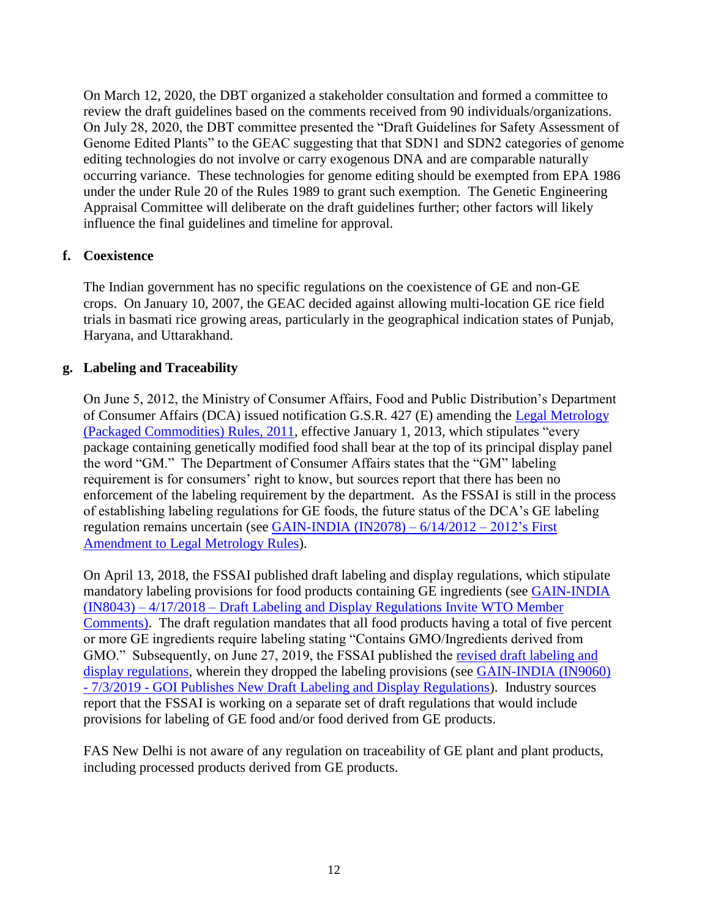On March 12, 2020, the DBT organized a stakeholder consultation and formed a committee to review the draft guidelines based on the comments received from 90 individuals/organizations. On July 28, 2020, the DBT committee presented the "Draft Guidelines for Safety Assessment of Genome Edited Plants" to the GEAC suggesting that that SDN1 and SDN2 categories of genome editing technologies do not involve or carry exogenous DNA and are comparable naturally occurring variance. These technologies for genome editing should be exempted from EPA 1986 under the under Rule 20 of the Rules 1989 to grant such exemption. The Genetic Engineering Appraisal Committee will deliberate on the draft guidelines further; other factors will likely influence the final guidelines and timeline for approval.

## **f. Coexistence**

The Indian government has no specific regulations on the coexistence of GE and non-GE crops. On January 10, 2007, the GEAC decided against allowing multi-location GE rice field trials in basmati rice growing areas, particularly in the geographical indication states of Punjab, Haryana, and Uttarakhand.

## **g. Labeling and Traceability**

On June 5, 2012, the Ministry of Consumer Affairs, Food and Public Distribution's Department of Consumer Affairs (DCA) issued notification G.S.R. 427 (E) amending the [Legal Metrology](http://wbconsumers.gov.in/writereaddata/ACT%20&%20RULES/Act%20&%20Rules/9%20The%20Legal%20Metrology%20(Package%20Commodities)%20Rules,%202011.pdf)  [\(Packaged Commodities\) Rules, 2011,](http://wbconsumers.gov.in/writereaddata/ACT%20&%20RULES/Act%20&%20Rules/9%20The%20Legal%20Metrology%20(Package%20Commodities)%20Rules,%202011.pdf) effective January 1, 2013, which stipulates "every package containing genetically modified food shall bear at the top of its principal display panel the word "GM." The Department of Consumer Affairs states that the "GM" labeling requirement is for consumers' right to know, but sources report that there has been no enforcement of the labeling requirement by the department. As the FSSAI is still in the process of establishing labeling regulations for GE foods, the future status of the DCA's GE labeling regulation remains uncertain (see [GAIN-INDIA \(IN2078\) –](https://apps.fas.usda.gov/newgainapi/api/Report/DownloadReportByFileName?fileName=2012%27s%20First%20Amendment%20to%20Legal%20Metrology%20Rules_New%20Delhi_India_6-14-2012) 6/14/2012 – 2012's First [Amendment to Legal Metrology Rules\)](https://apps.fas.usda.gov/newgainapi/api/Report/DownloadReportByFileName?fileName=2012%27s%20First%20Amendment%20to%20Legal%20Metrology%20Rules_New%20Delhi_India_6-14-2012).

On April 13, 2018, the FSSAI published draft labeling and display regulations, which stipulate mandatory labeling provisions for food products containing GE ingredients (see [GAIN-INDIA](https://apps.fas.usda.gov/newgainapi/api/Report/DownloadReportByFileName?fileName=Draft%20Labeling%20and%20Display%20Regulations%20Invite%20WTO%20Member%20Comments_New%20Delhi_India_4-17-2018)  (IN8043) – 4/17/2018 – [Draft Labeling and Display Regulations Invite WTO Member](https://apps.fas.usda.gov/newgainapi/api/Report/DownloadReportByFileName?fileName=Draft%20Labeling%20and%20Display%20Regulations%20Invite%20WTO%20Member%20Comments_New%20Delhi_India_4-17-2018)  [Comments\).](https://apps.fas.usda.gov/newgainapi/api/Report/DownloadReportByFileName?fileName=Draft%20Labeling%20and%20Display%20Regulations%20Invite%20WTO%20Member%20Comments_New%20Delhi_India_4-17-2018) The draft regulation mandates that all food products having a total of five percent or more GE ingredients require labeling stating "Contains GMO/Ingredients derived from GMO." Subsequently, on June 27, 2019, the FSSAI published the [revised draft labeling and](https://www.fssai.gov.in/upload/uploadfiles/files/Draft_Notification_Display_Labelling_02_07_2019.pdf)  [display regulations,](https://www.fssai.gov.in/upload/uploadfiles/files/Draft_Notification_Display_Labelling_02_07_2019.pdf) wherein they dropped the labeling provisions (see [GAIN-INDIA \(IN9060\)](https://apps.fas.usda.gov/newgainapi/api/Report/DownloadReportByFileName?fileName=GOI%20Publishes%20New%20Draft%20Labeling%20and%20Display%20Regulations_New%20Delhi_India_7-3-2019)  - 7/3/2019 - [GOI Publishes New Draft Labeling and Display Regulations\)](https://apps.fas.usda.gov/newgainapi/api/Report/DownloadReportByFileName?fileName=GOI%20Publishes%20New%20Draft%20Labeling%20and%20Display%20Regulations_New%20Delhi_India_7-3-2019). Industry sources report that the FSSAI is working on a separate set of draft regulations that would include provisions for labeling of GE food and/or food derived from GE products.

FAS New Delhi is not aware of any regulation on traceability of GE plant and plant products, including processed products derived from GE products.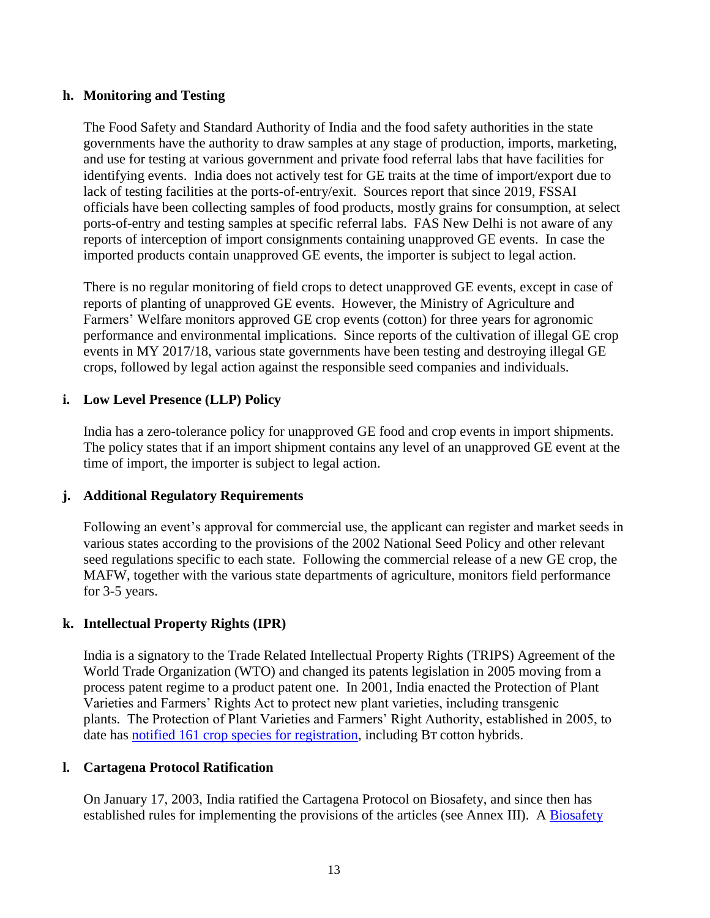## **h. Monitoring and Testing**

The Food Safety and Standard Authority of India and the food safety authorities in the state governments have the authority to draw samples at any stage of production, imports, marketing, and use for testing at various government and private food referral labs that have facilities for identifying events. India does not actively test for GE traits at the time of import/export due to lack of testing facilities at the ports-of-entry/exit. Sources report that since 2019, FSSAI officials have been collecting samples of food products, mostly grains for consumption, at select ports-of-entry and testing samples at specific referral labs. FAS New Delhi is not aware of any reports of interception of import consignments containing unapproved GE events. In case the imported products contain unapproved GE events, the importer is subject to legal action.

There is no regular monitoring of field crops to detect unapproved GE events, except in case of reports of planting of unapproved GE events. However, the Ministry of Agriculture and Farmers' Welfare monitors approved GE crop events (cotton) for three years for agronomic performance and environmental implications. Since reports of the cultivation of illegal GE crop events in MY 2017/18, various state governments have been testing and destroying illegal GE crops, followed by legal action against the responsible seed companies and individuals.

## **i. Low Level Presence (LLP) Policy**

India has a zero-tolerance policy for unapproved GE food and crop events in import shipments. The policy states that if an import shipment contains any level of an unapproved GE event at the time of import, the importer is subject to legal action.

## **j. Additional Regulatory Requirements**

Following an event's approval for commercial use, the applicant can register and market seeds in various states according to the provisions of the 2002 National Seed Policy and other relevant seed regulations specific to each state. Following the commercial release of a new GE crop, the MAFW, together with the various state departments of agriculture, monitors field performance for 3-5 years.

## **k. Intellectual Property Rights (IPR)**

India is a signatory to the Trade Related Intellectual Property Rights (TRIPS) Agreement of the World Trade Organization (WTO) and changed its patents legislation in 2005 moving from a process patent regime to a product patent one. In 2001, India enacted the Protection of Plant Varieties and Farmers' Rights Act to protect new plant varieties, including transgenic plants. The Protection of Plant Varieties and Farmers' Right Authority, established in 2005, to date has [notified 161 crop species for registration,](http://www.plantauthority.gov.in/List%20of%20150%20Crop%20species%20registration%20under%20Extantaandfarmers1.htm) including BT cotton hybrids.

## **l. Cartagena Protocol Ratification**

On January 17, 2003, India ratified the Cartagena Protocol on Biosafety, and since then has established rules for implementing the provisions of the articles (see Annex III). A Biosafety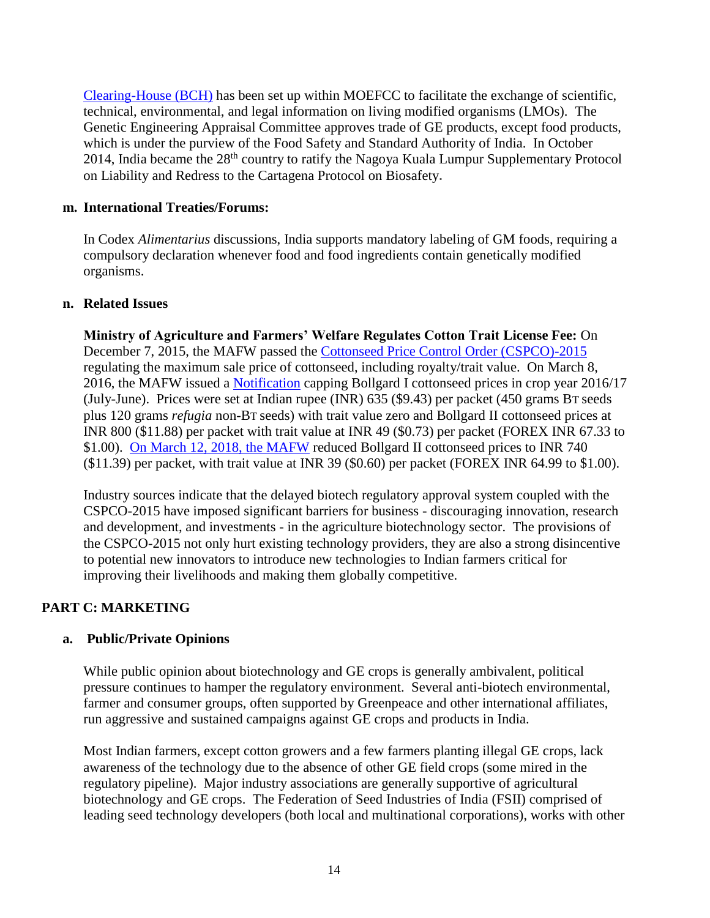[Clearing-House \(BCH\)](http://www.geacindia.gov.in/india-bch.aspx) has been set up within MOEFCC to facilitate the exchange of scientific, technical, environmental, and legal information on living modified organisms (LMOs). The Genetic Engineering Appraisal Committee approves trade of GE products, except food products, which is under the purview of the Food Safety and Standard Authority of India. In October 2014, India became the 28<sup>th</sup> country to ratify the Nagoya Kuala Lumpur Supplementary Protocol on Liability and Redress to the Cartagena Protocol on Biosafety**.** 

#### **m. International Treaties/Forums:**

In Codex *Alimentarius* discussions, India supports mandatory labeling of GM foods, requiring a compulsory declaration whenever food and food ingredients contain genetically modified organisms.

## **n. Related Issues**

**Ministry of Agriculture and Farmers' Welfare Regulates Cotton Trait License Fee:** On December 7, 2015, the MAFW passed the [Cottonseed Price Control Order \(CSPCO\)-2015](http://seednet.gov.in/PDFFILES/Cotton_Seeds_Price.pdf) regulating the maximum sale price of cottonseed, including royalty/trait value. On March 8, 2016, the MAFW issued a [Notification](http://seednet.gov.in/PDFFILES/Maximum%20sale%20price%20for%20Bt.cotton%20seeds%20for%20the%20year%202016-17.pdf) capping Bollgard I cottonseed prices in crop year 2016/17 (July-June). Prices were set at Indian rupee (INR) 635 (\$9.43) per packet (450 grams BT seeds plus 120 grams *refugia* non-BT seeds) with trait value zero and Bollgard II cottonseed prices at INR 800 (\$11.88) per packet with trait value at INR 49 (\$0.73) per packet (FOREX INR 67.33 to \$1.00). [On March 12, 2018, the MAFW](http://seednet.gov.in/SeedGO/2018/S.O.1108(E)_2018.pdf) reduced Bollgard II cottonseed prices to INR 740 (\$11.39) per packet, with trait value at INR 39 (\$0.60) per packet (FOREX INR 64.99 to \$1.00).

Industry sources indicate that the delayed biotech regulatory approval system coupled with the CSPCO-2015 have imposed significant barriers for business - discouraging innovation, research and development, and investments - in the agriculture biotechnology sector. The provisions of the CSPCO-2015 not only hurt existing technology providers, they are also a strong disincentive to potential new innovators to introduce new technologies to Indian farmers critical for improving their livelihoods and making them globally competitive.

## **PART C: MARKETING**

## **a. Public/Private Opinions**

While public opinion about biotechnology and GE crops is generally ambivalent, political pressure continues to hamper the regulatory environment. Several anti-biotech environmental, farmer and consumer groups, often supported by Greenpeace and other international affiliates, run aggressive and sustained campaigns against GE crops and products in India.

Most Indian farmers, except cotton growers and a few farmers planting illegal GE crops, lack awareness of the technology due to the absence of other GE field crops (some mired in the regulatory pipeline). Major industry associations are generally supportive of agricultural biotechnology and GE crops. The Federation of Seed Industries of India (FSII) comprised of leading seed technology developers (both local and multinational corporations), works with other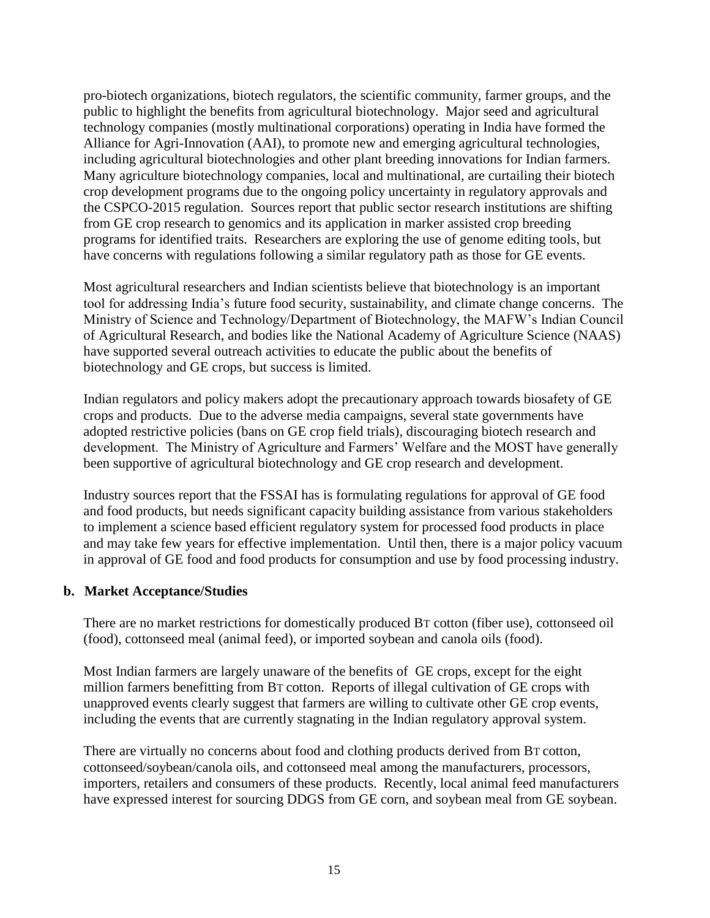pro-biotech organizations, biotech regulators, the scientific community, farmer groups, and the public to highlight the benefits from agricultural biotechnology. Major seed and agricultural technology companies (mostly multinational corporations) operating in India have formed the Alliance for Agri-Innovation (AAI), to promote new and emerging agricultural technologies, including agricultural biotechnologies and other plant breeding innovations for Indian farmers. Many agriculture biotechnology companies, local and multinational, are curtailing their biotech crop development programs due to the ongoing policy uncertainty in regulatory approvals and the CSPCO-2015 regulation. Sources report that public sector research institutions are shifting from GE crop research to genomics and its application in marker assisted crop breeding programs for identified traits. Researchers are exploring the use of genome editing tools, but have concerns with regulations following a similar regulatory path as those for GE events.

Most agricultural researchers and Indian scientists believe that biotechnology is an important tool for addressing India's future food security, sustainability, and climate change concerns. The Ministry of Science and Technology/Department of Biotechnology, the MAFW's Indian Council of Agricultural Research, and bodies like the National Academy of Agriculture Science (NAAS) have supported several outreach activities to educate the public about the benefits of biotechnology and GE crops, but success is limited.

Indian regulators and policy makers adopt the precautionary approach towards biosafety of GE crops and products. Due to the adverse media campaigns, several state governments have adopted restrictive policies (bans on GE crop field trials), discouraging biotech research and development. The Ministry of Agriculture and Farmers' Welfare and the MOST have generally been supportive of agricultural biotechnology and GE crop research and development.

Industry sources report that the FSSAI has is formulating regulations for approval of GE food and food products, but needs significant capacity building assistance from various stakeholders to implement a science based efficient regulatory system for processed food products in place and may take few years for effective implementation. Until then, there is a major policy vacuum in approval of GE food and food products for consumption and use by food processing industry.

## **b. Market Acceptance/Studies**

There are no market restrictions for domestically produced BT cotton (fiber use), cottonseed oil (food), cottonseed meal (animal feed), or imported soybean and canola oils (food).

Most Indian farmers are largely unaware of the benefits of GE crops, except for the eight million farmers benefitting from BT cotton. Reports of illegal cultivation of GE crops with unapproved events clearly suggest that farmers are willing to cultivate other GE crop events, including the events that are currently stagnating in the Indian regulatory approval system.

There are virtually no concerns about food and clothing products derived from BT cotton, cottonseed/soybean/canola oils, and cottonseed meal among the manufacturers, processors, importers, retailers and consumers of these products. Recently, local animal feed manufacturers have expressed interest for sourcing DDGS from GE corn, and soybean meal from GE soybean.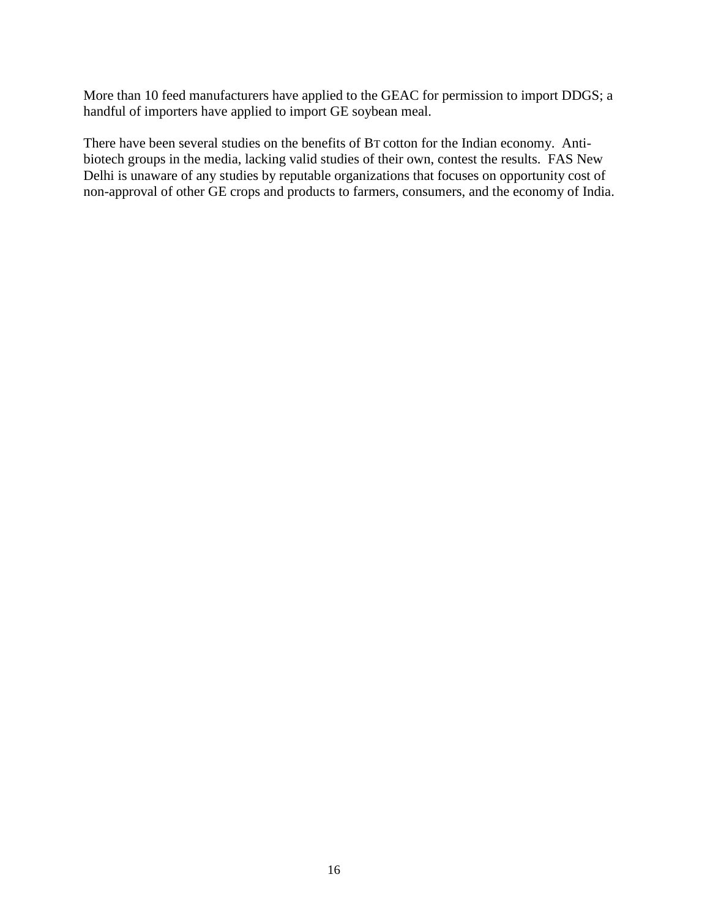More than 10 feed manufacturers have applied to the GEAC for permission to import DDGS; a handful of importers have applied to import GE soybean meal.

There have been several studies on the benefits of BT cotton for the Indian economy. Antibiotech groups in the media, lacking valid studies of their own, contest the results. FAS New Delhi is unaware of any studies by reputable organizations that focuses on opportunity cost of non-approval of other GE crops and products to farmers, consumers, and the economy of India.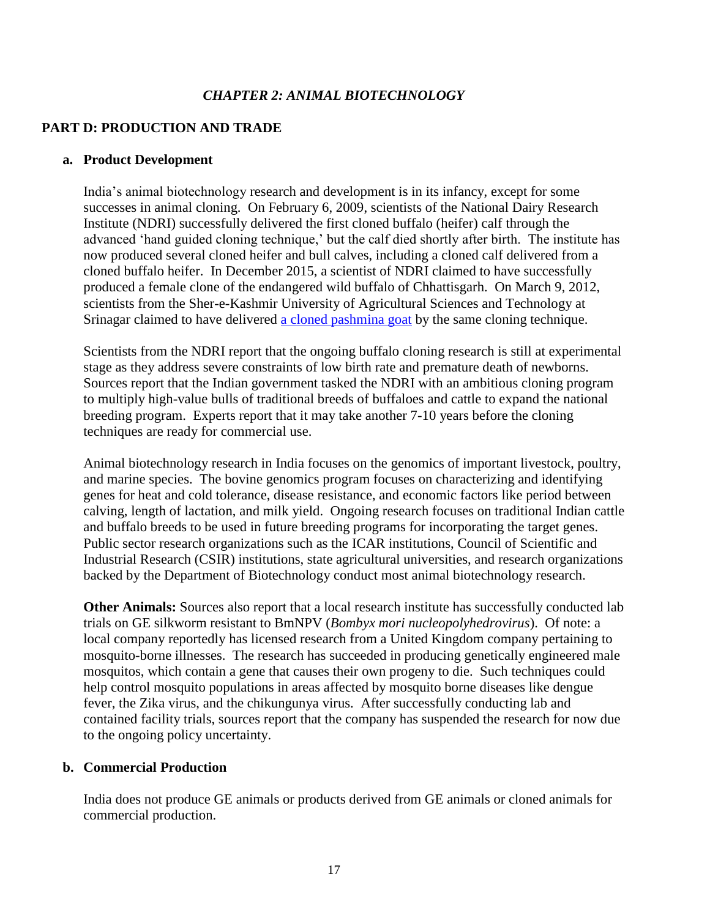## *CHAPTER 2: ANIMAL BIOTECHNOLOGY*

## **PART D: PRODUCTION AND TRADE**

#### **a. Product Development**

India's animal biotechnology research and development is in its infancy, except for some successes in animal cloning. On February 6, 2009, scientists of the National Dairy Research Institute (NDRI) successfully delivered the first cloned buffalo (heifer) calf through the advanced 'hand guided cloning technique,' but the calf died shortly after birth. The institute has now produced several cloned heifer and bull calves, including a cloned calf delivered from a cloned buffalo heifer. In December 2015, a scientist of NDRI claimed to have successfully produced a female clone of the endangered wild buffalo of Chhattisgarh. On March 9, 2012, scientists from the Sher-e-Kashmir University of Agricultural Sciences and Technology at Srinagar claimed to have delivered [a cloned pashmina goat](http://www.icar.org.in/node/5695) by the same cloning technique.

Scientists from the NDRI report that the ongoing buffalo cloning research is still at experimental stage as they address severe constraints of low birth rate and premature death of newborns. Sources report that the Indian government tasked the NDRI with an ambitious cloning program to multiply high-value bulls of traditional breeds of buffaloes and cattle to expand the national breeding program. Experts report that it may take another 7-10 years before the cloning techniques are ready for commercial use.

Animal biotechnology research in India focuses on the genomics of important livestock, poultry, and marine species. The bovine genomics program focuses on characterizing and identifying genes for heat and cold tolerance, disease resistance, and economic factors like period between calving, length of lactation, and milk yield. Ongoing research focuses on traditional Indian cattle and buffalo breeds to be used in future breeding programs for incorporating the target genes. Public sector research organizations such as the ICAR institutions, Council of Scientific and Industrial Research (CSIR) institutions, state agricultural universities, and research organizations backed by the Department of Biotechnology conduct most animal biotechnology research.

**Other Animals:** Sources also report that a local research institute has successfully conducted lab trials on GE silkworm resistant to BmNPV (*Bombyx mori nucleopolyhedrovirus*). Of note: a local company reportedly has licensed research from a United Kingdom company pertaining to mosquito-borne illnesses. The research has succeeded in producing genetically engineered male mosquitos, which contain a gene that causes their own progeny to die. Such techniques could help control mosquito populations in areas affected by mosquito borne diseases like dengue fever, the Zika virus, and the chikungunya virus. After successfully conducting lab and contained facility trials, sources report that the company has suspended the research for now due to the ongoing policy uncertainty.

## **b. Commercial Production**

India does not produce GE animals or products derived from GE animals or cloned animals for commercial production.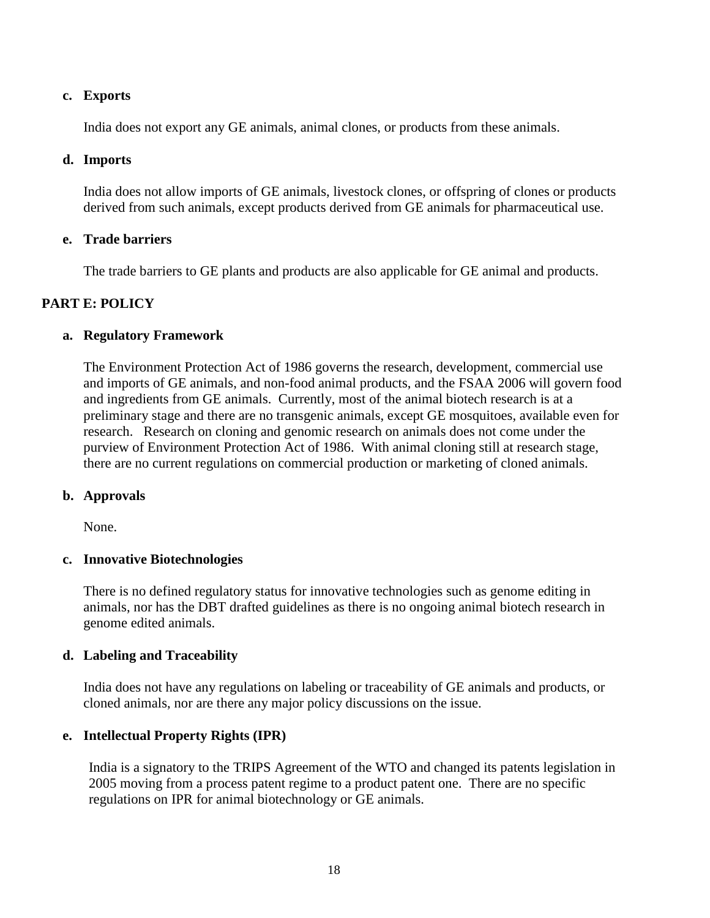## **c. Exports**

India does not export any GE animals, animal clones, or products from these animals.

## **d. Imports**

India does not allow imports of GE animals, livestock clones, or offspring of clones or products derived from such animals, except products derived from GE animals for pharmaceutical use.

## **e. Trade barriers**

The trade barriers to GE plants and products are also applicable for GE animal and products.

## **PART E: POLICY**

## **a. Regulatory Framework**

The Environment Protection Act of 1986 governs the research, development, commercial use and imports of GE animals, and non-food animal products, and the FSAA 2006 will govern food and ingredients from GE animals. Currently, most of the animal biotech research is at a preliminary stage and there are no transgenic animals, except GE mosquitoes, available even for research. Research on cloning and genomic research on animals does not come under the purview of Environment Protection Act of 1986. With animal cloning still at research stage, there are no current regulations on commercial production or marketing of cloned animals.

## **b. Approvals**

None.

## **c. Innovative Biotechnologies**

There is no defined regulatory status for innovative technologies such as genome editing in animals, nor has the DBT drafted guidelines as there is no ongoing animal biotech research in genome edited animals.

## **d. Labeling and Traceability**

India does not have any regulations on labeling or traceability of GE animals and products, or cloned animals, nor are there any major policy discussions on the issue.

## **e. Intellectual Property Rights (IPR)**

India is a signatory to the TRIPS Agreement of the WTO and changed its patents legislation in 2005 moving from a process patent regime to a product patent one. There are no specific regulations on IPR for animal biotechnology or GE animals.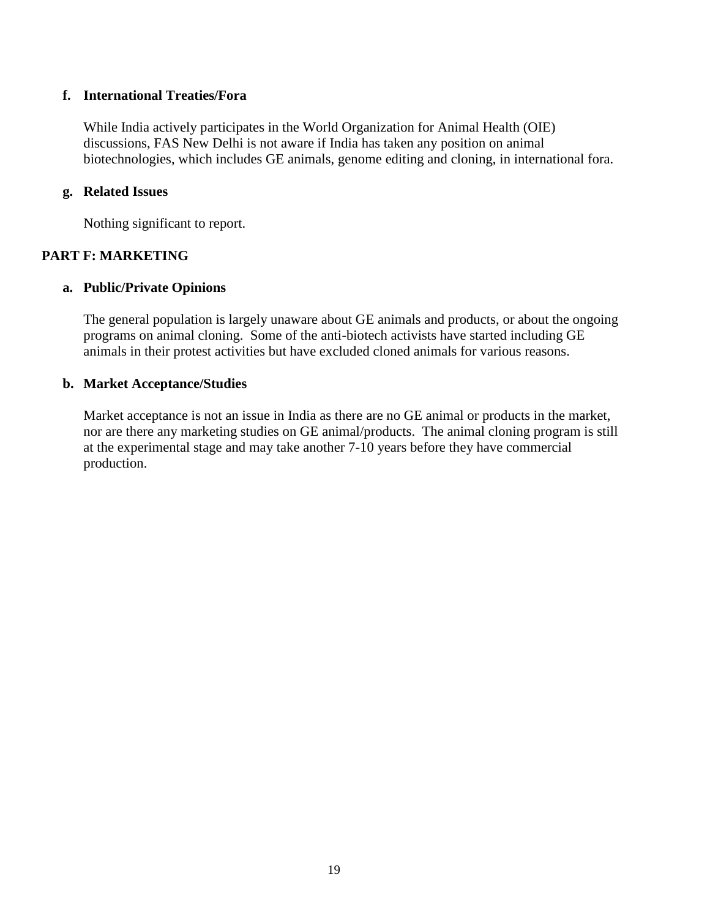## **f. International Treaties/Fora**

While India actively participates in the World Organization for Animal Health (OIE) discussions, FAS New Delhi is not aware if India has taken any position on animal biotechnologies, which includes GE animals, genome editing and cloning, in international fora.

## **g. Related Issues**

Nothing significant to report.

## **PART F: MARKETING**

#### **a. Public/Private Opinions**

The general population is largely unaware about GE animals and products, or about the ongoing programs on animal cloning. Some of the anti-biotech activists have started including GE animals in their protest activities but have excluded cloned animals for various reasons.

#### **b. Market Acceptance/Studies**

Market acceptance is not an issue in India as there are no GE animal or products in the market, nor are there any marketing studies on GE animal/products. The animal cloning program is still at the experimental stage and may take another 7-10 years before they have commercial production.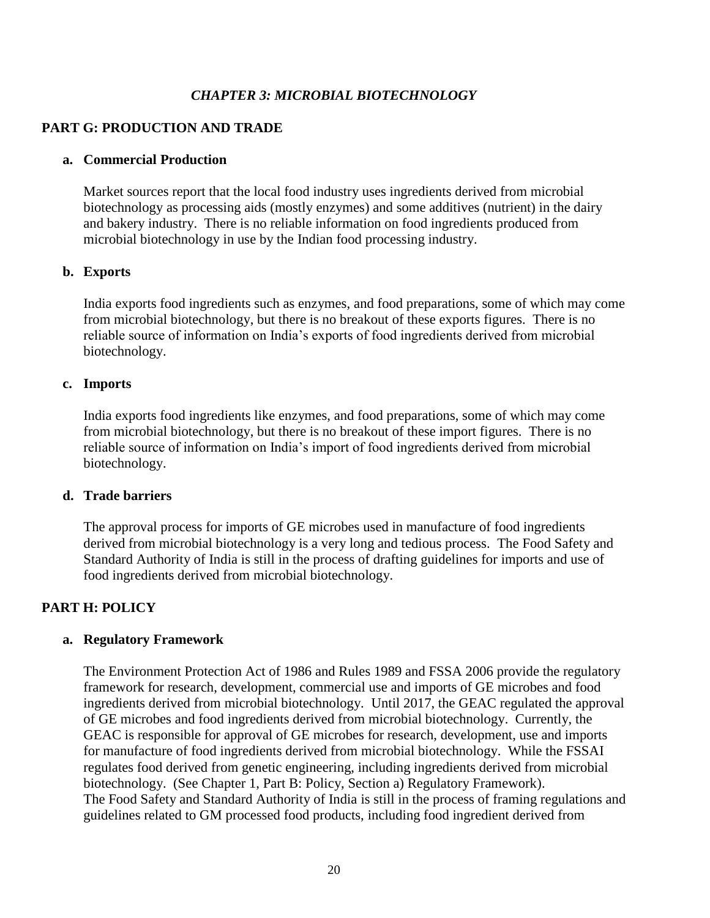## *CHAPTER 3: MICROBIAL BIOTECHNOLOGY*

## **PART G: PRODUCTION AND TRADE**

#### **a. Commercial Production**

Market sources report that the local food industry uses ingredients derived from microbial biotechnology as processing aids (mostly enzymes) and some additives (nutrient) in the dairy and bakery industry. There is no reliable information on food ingredients produced from microbial biotechnology in use by the Indian food processing industry.

#### **b. Exports**

India exports food ingredients such as enzymes, and food preparations, some of which may come from microbial biotechnology, but there is no breakout of these exports figures. There is no reliable source of information on India's exports of food ingredients derived from microbial biotechnology.

#### **c. Imports**

India exports food ingredients like enzymes, and food preparations, some of which may come from microbial biotechnology, but there is no breakout of these import figures. There is no reliable source of information on India's import of food ingredients derived from microbial biotechnology.

## **d. Trade barriers**

The approval process for imports of GE microbes used in manufacture of food ingredients derived from microbial biotechnology is a very long and tedious process. The Food Safety and Standard Authority of India is still in the process of drafting guidelines for imports and use of food ingredients derived from microbial biotechnology.

## **PART H: POLICY**

## **a. Regulatory Framework**

The Environment Protection Act of 1986 and Rules 1989 and FSSA 2006 provide the regulatory framework for research, development, commercial use and imports of GE microbes and food ingredients derived from microbial biotechnology. Until 2017, the GEAC regulated the approval of GE microbes and food ingredients derived from microbial biotechnology. Currently, the GEAC is responsible for approval of GE microbes for research, development, use and imports for manufacture of food ingredients derived from microbial biotechnology. While the FSSAI regulates food derived from genetic engineering, including ingredients derived from microbial biotechnology. (See Chapter 1, Part B: Policy, Section a) Regulatory Framework). The Food Safety and Standard Authority of India is still in the process of framing regulations and guidelines related to GM processed food products, including food ingredient derived from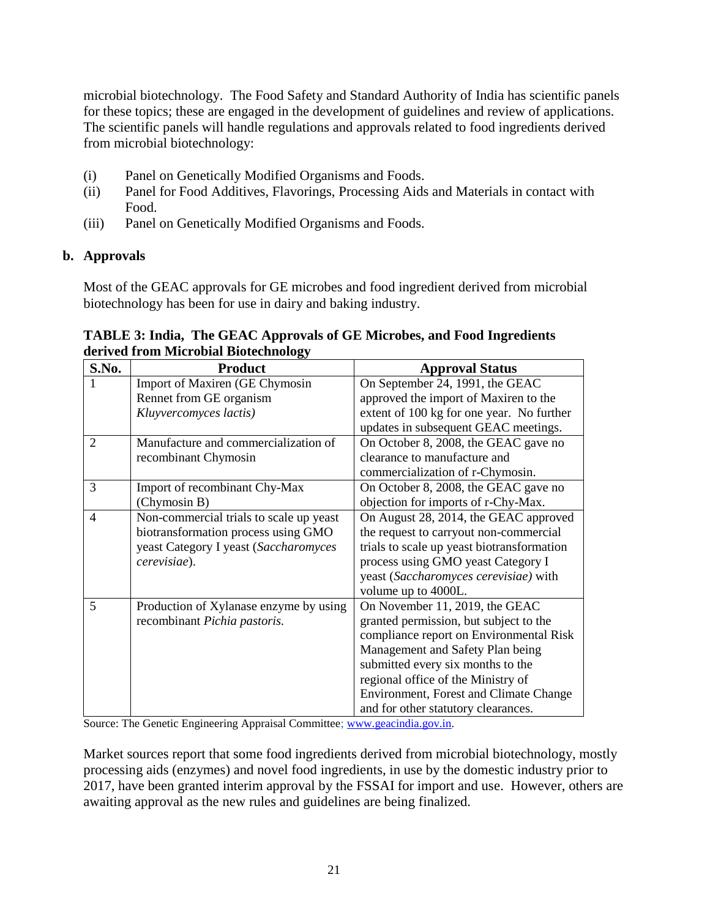microbial biotechnology. The Food Safety and Standard Authority of India has scientific panels for these topics; these are engaged in the development of guidelines and review of applications. The scientific panels will handle regulations and approvals related to food ingredients derived from microbial biotechnology:

- (i) Panel on Genetically Modified Organisms and Foods.
- (ii) [Panel for Food Additives, Flavorings, Processing Aids and Materials in contact with](https://fssai.gov.in/fskan/fskan/ScientificPanel#collapse-3)  [Food.](https://fssai.gov.in/fskan/fskan/ScientificPanel#collapse-3)
- (iii) Panel on Genetically Modified Organisms and Foods.

## **b. Approvals**

Most of the GEAC approvals for GE microbes and food ingredient derived from microbial biotechnology has been for use in dairy and baking industry.

| S.No.          | <b>Product</b>                          | <b>Approval Status</b>                     |
|----------------|-----------------------------------------|--------------------------------------------|
|                | Import of Maxiren (GE Chymosin          | On September 24, 1991, the GEAC            |
|                | Rennet from GE organism                 | approved the import of Maxiren to the      |
|                | Kluyvercomyces lactis)                  | extent of 100 kg for one year. No further  |
|                |                                         | updates in subsequent GEAC meetings.       |
| $\overline{2}$ | Manufacture and commercialization of    | On October 8, 2008, the GEAC gave no       |
|                | recombinant Chymosin                    | clearance to manufacture and               |
|                |                                         | commercialization of r-Chymosin.           |
| 3              | Import of recombinant Chy-Max           | On October 8, 2008, the GEAC gave no       |
|                | (Chymosin B)                            | objection for imports of r-Chy-Max.        |
| $\overline{4}$ | Non-commercial trials to scale up yeast | On August 28, 2014, the GEAC approved      |
|                | biotransformation process using GMO     | the request to carryout non-commercial     |
|                | yeast Category I yeast (Saccharomyces   | trials to scale up yeast biotransformation |
|                | cerevisiae).                            | process using GMO yeast Category I         |
|                |                                         | yeast (Saccharomyces cerevisiae) with      |
|                |                                         | volume up to 4000L.                        |
| 5              | Production of Xylanase enzyme by using  | On November 11, 2019, the GEAC             |
|                | recombinant Pichia pastoris.            | granted permission, but subject to the     |
|                |                                         | compliance report on Environmental Risk    |
|                |                                         | Management and Safety Plan being           |
|                |                                         | submitted every six months to the          |
|                |                                         | regional office of the Ministry of         |
|                |                                         | Environment, Forest and Climate Change     |
|                |                                         | and for other statutory clearances.        |

## **TABLE 3: India, The GEAC Approvals of GE Microbes, and Food Ingredients derived from Microbial Biotechnology**

Source: The Genetic Engineering Appraisal Committee; [www.geacindia.gov.in.](http://www.geacindia.gov.in/)

Market sources report that some food ingredients derived from microbial biotechnology, mostly processing aids (enzymes) and novel food ingredients, in use by the domestic industry prior to 2017, have been granted interim approval by the FSSAI for import and use. However, others are awaiting approval as the new rules and guidelines are being finalized.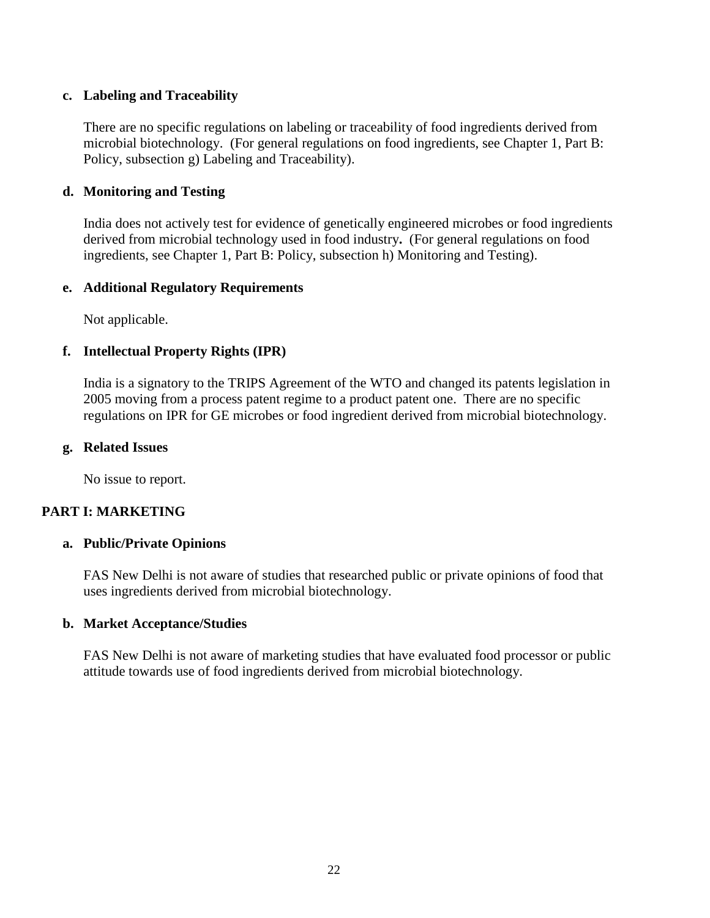## **c. Labeling and Traceability**

There are no specific regulations on labeling or traceability of food ingredients derived from microbial biotechnology. (For general regulations on food ingredients, see Chapter 1, Part B: Policy, subsection g) Labeling and Traceability).

## **d. Monitoring and Testing**

India does not actively test for evidence of genetically engineered microbes or food ingredients derived from microbial technology used in food industry**.** (For general regulations on food ingredients, see Chapter 1, Part B: Policy, subsection h) Monitoring and Testing).

## **e. Additional Regulatory Requirements**

Not applicable.

## **f. Intellectual Property Rights (IPR)**

India is a signatory to the TRIPS Agreement of the WTO and changed its patents legislation in 2005 moving from a process patent regime to a product patent one. There are no specific regulations on IPR for GE microbes or food ingredient derived from microbial biotechnology.

## **g. Related Issues**

No issue to report.

## **PART I: MARKETING**

## **a. Public/Private Opinions**

FAS New Delhi is not aware of studies that researched public or private opinions of food that uses ingredients derived from microbial biotechnology.

## **b. Market Acceptance/Studies**

FAS New Delhi is not aware of marketing studies that have evaluated food processor or public attitude towards use of food ingredients derived from microbial biotechnology.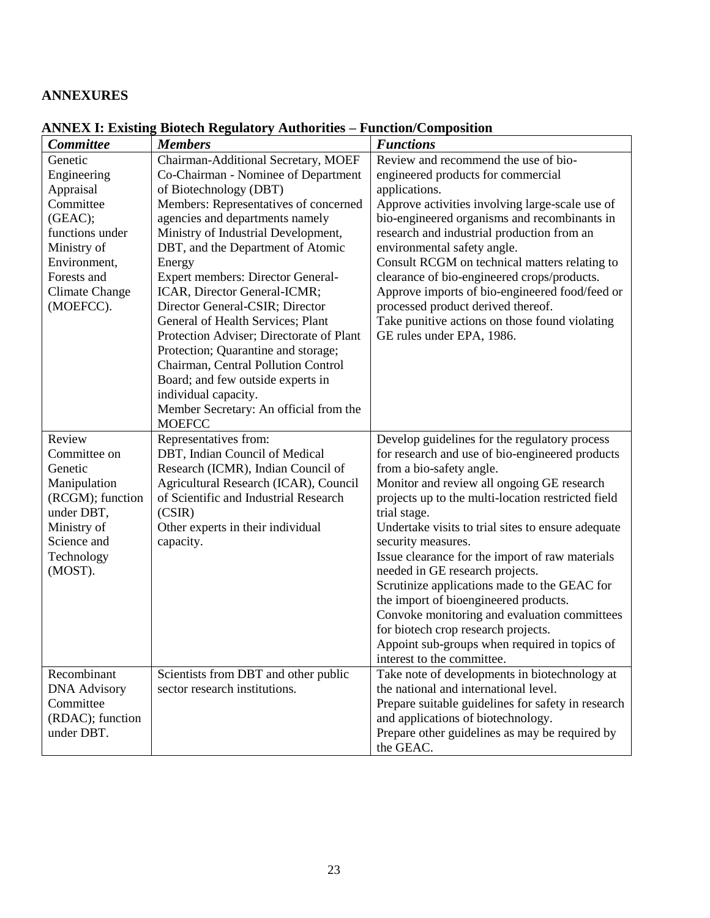## **ANNEXURES**

| <b>Committee</b>      | <b>Members</b>                           | <b>Functions</b>                                   |
|-----------------------|------------------------------------------|----------------------------------------------------|
| Genetic               | Chairman-Additional Secretary, MOEF      | Review and recommend the use of bio-               |
| Engineering           | Co-Chairman - Nominee of Department      | engineered products for commercial                 |
| Appraisal             | of Biotechnology (DBT)                   | applications.                                      |
| Committee             | Members: Representatives of concerned    | Approve activities involving large-scale use of    |
| (GEAC);               | agencies and departments namely          | bio-engineered organisms and recombinants in       |
| functions under       | Ministry of Industrial Development,      | research and industrial production from an         |
| Ministry of           | DBT, and the Department of Atomic        | environmental safety angle.                        |
| Environment,          | Energy                                   | Consult RCGM on technical matters relating to      |
| Forests and           | <b>Expert members: Director General-</b> | clearance of bio-engineered crops/products.        |
| <b>Climate Change</b> | ICAR, Director General-ICMR;             | Approve imports of bio-engineered food/feed or     |
| (MOEFCC).             | Director General-CSIR; Director          | processed product derived thereof.                 |
|                       | General of Health Services; Plant        | Take punitive actions on those found violating     |
|                       | Protection Adviser; Directorate of Plant | GE rules under EPA, 1986.                          |
|                       | Protection; Quarantine and storage;      |                                                    |
|                       | Chairman, Central Pollution Control      |                                                    |
|                       | Board; and few outside experts in        |                                                    |
|                       | individual capacity.                     |                                                    |
|                       | Member Secretary: An official from the   |                                                    |
|                       | <b>MOEFCC</b>                            |                                                    |
| Review                | Representatives from:                    | Develop guidelines for the regulatory process      |
| Committee on          | DBT, Indian Council of Medical           | for research and use of bio-engineered products    |
| Genetic               | Research (ICMR), Indian Council of       | from a bio-safety angle.                           |
| Manipulation          | Agricultural Research (ICAR), Council    | Monitor and review all ongoing GE research         |
| (RCGM); function      | of Scientific and Industrial Research    | projects up to the multi-location restricted field |
| under DBT,            | (CSIR)                                   | trial stage.                                       |
| Ministry of           | Other experts in their individual        | Undertake visits to trial sites to ensure adequate |
| Science and           | capacity.                                | security measures.                                 |
| Technology            |                                          | Issue clearance for the import of raw materials    |
| (MOST).               |                                          | needed in GE research projects.                    |
|                       |                                          | Scrutinize applications made to the GEAC for       |
|                       |                                          | the import of bioengineered products.              |
|                       |                                          | Convoke monitoring and evaluation committees       |
|                       |                                          | for biotech crop research projects.                |
|                       |                                          | Appoint sub-groups when required in topics of      |
|                       |                                          | interest to the committee.                         |
| Recombinant           | Scientists from DBT and other public     | Take note of developments in biotechnology at      |
| <b>DNA Advisory</b>   | sector research institutions.            | the national and international level.              |
| Committee             |                                          | Prepare suitable guidelines for safety in research |
| (RDAC); function      |                                          | and applications of biotechnology.                 |
| under DBT.            |                                          | Prepare other guidelines as may be required by     |
|                       |                                          | the GEAC.                                          |

## **ANNEX I: Existing Biotech Regulatory Authorities – Function/Composition**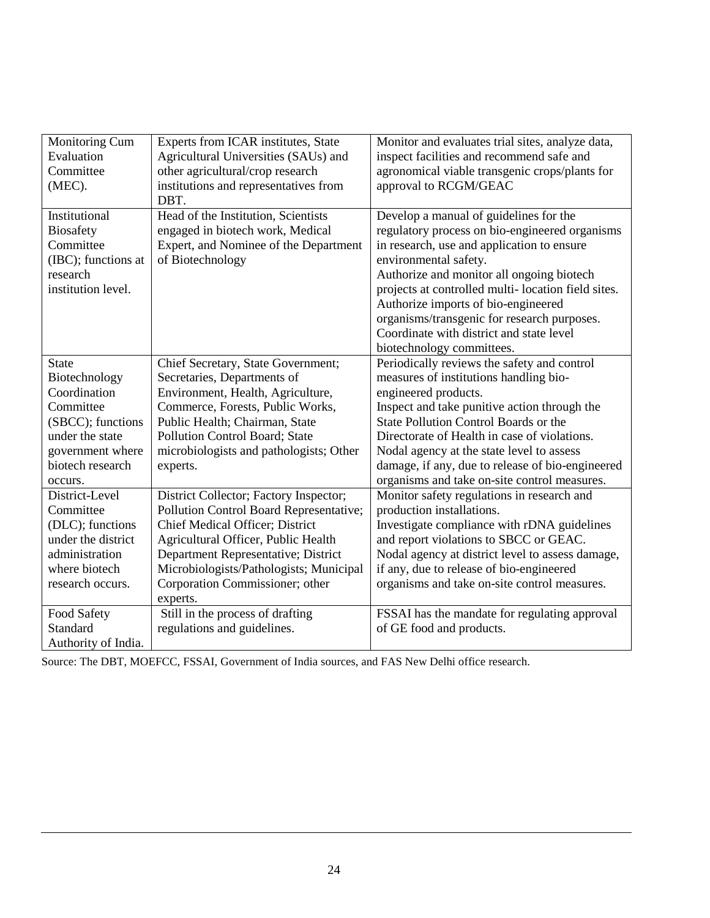| Monitoring Cum      | Experts from ICAR institutes, State     | Monitor and evaluates trial sites, analyze data,   |
|---------------------|-----------------------------------------|----------------------------------------------------|
| Evaluation          | Agricultural Universities (SAUs) and    | inspect facilities and recommend safe and          |
| Committee           | other agricultural/crop research        | agronomical viable transgenic crops/plants for     |
| (MEC).              | institutions and representatives from   | approval to RCGM/GEAC                              |
|                     | DBT.                                    |                                                    |
| Institutional       | Head of the Institution, Scientists     | Develop a manual of guidelines for the             |
| <b>Biosafety</b>    | engaged in biotech work, Medical        | regulatory process on bio-engineered organisms     |
| Committee           | Expert, and Nominee of the Department   | in research, use and application to ensure         |
| (IBC); functions at | of Biotechnology                        | environmental safety.                              |
| research            |                                         | Authorize and monitor all ongoing biotech          |
| institution level.  |                                         | projects at controlled multi-location field sites. |
|                     |                                         | Authorize imports of bio-engineered                |
|                     |                                         | organisms/transgenic for research purposes.        |
|                     |                                         | Coordinate with district and state level           |
|                     |                                         | biotechnology committees.                          |
| <b>State</b>        | Chief Secretary, State Government;      | Periodically reviews the safety and control        |
| Biotechnology       | Secretaries, Departments of             | measures of institutions handling bio-             |
| Coordination        | Environment, Health, Agriculture,       | engineered products.                               |
| Committee           | Commerce, Forests, Public Works,        | Inspect and take punitive action through the       |
| (SBCC); functions   | Public Health; Chairman, State          | State Pollution Control Boards or the              |
| under the state     | Pollution Control Board; State          | Directorate of Health in case of violations.       |
| government where    | microbiologists and pathologists; Other | Nodal agency at the state level to assess          |
| biotech research    | experts.                                | damage, if any, due to release of bio-engineered   |
| occurs.             |                                         | organisms and take on-site control measures.       |
| District-Level      | District Collector; Factory Inspector;  | Monitor safety regulations in research and         |
| Committee           | Pollution Control Board Representative; | production installations.                          |
| (DLC); functions    | Chief Medical Officer; District         | Investigate compliance with rDNA guidelines        |
| under the district  | Agricultural Officer, Public Health     | and report violations to SBCC or GEAC.             |
| administration      | Department Representative; District     | Nodal agency at district level to assess damage,   |
| where biotech       | Microbiologists/Pathologists; Municipal | if any, due to release of bio-engineered           |
| research occurs.    | Corporation Commissioner; other         | organisms and take on-site control measures.       |
|                     | experts.                                |                                                    |
| Food Safety         | Still in the process of drafting        | FSSAI has the mandate for regulating approval      |
| Standard            | regulations and guidelines.             | of GE food and products.                           |
| Authority of India. |                                         |                                                    |

Source: The DBT, MOEFCC, FSSAI, Government of India sources, and FAS New Delhi office research.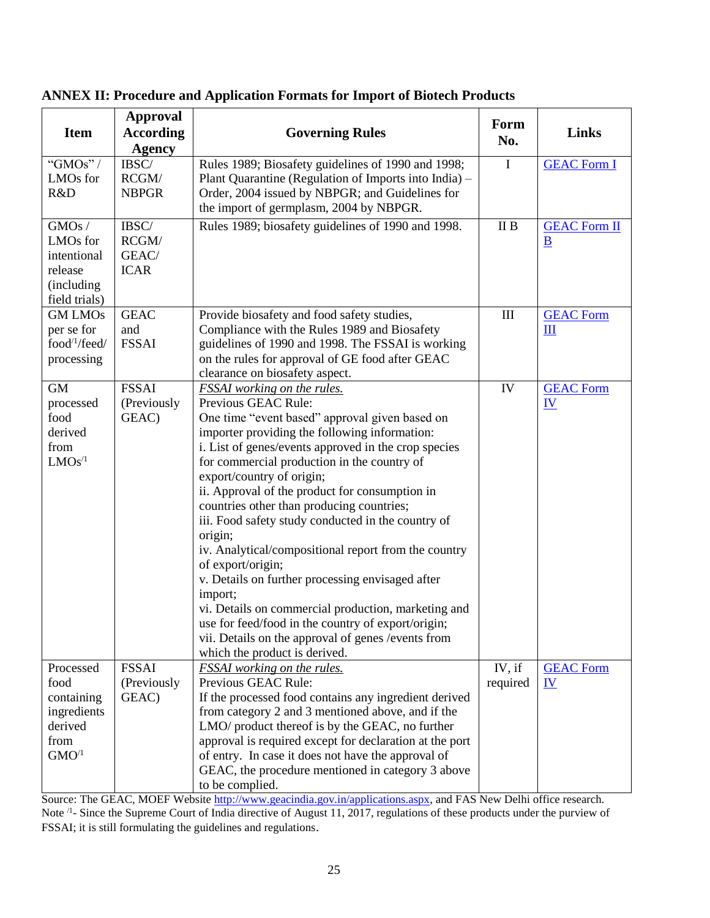| <b>Item</b>                                                                                    | <b>Approval</b><br><b>According</b><br><b>Agency</b> | <b>Governing Rules</b>                                                                                                                                                                                                                                                                                                                                                                                                                                                                                                                                                                                                                                                                                                                                                                                     | Form<br>No.                      | <b>Links</b>                                    |
|------------------------------------------------------------------------------------------------|------------------------------------------------------|------------------------------------------------------------------------------------------------------------------------------------------------------------------------------------------------------------------------------------------------------------------------------------------------------------------------------------------------------------------------------------------------------------------------------------------------------------------------------------------------------------------------------------------------------------------------------------------------------------------------------------------------------------------------------------------------------------------------------------------------------------------------------------------------------------|----------------------------------|-------------------------------------------------|
| " $GMOs"$<br>LMOs for<br>R&D                                                                   | IBSC/<br>RCGM/<br><b>NBPGR</b>                       | Rules 1989; Biosafety guidelines of 1990 and 1998;<br>Plant Quarantine (Regulation of Imports into India) –<br>Order, 2004 issued by NBPGR; and Guidelines for<br>the import of germplasm, 2004 by NBPGR.                                                                                                                                                                                                                                                                                                                                                                                                                                                                                                                                                                                                  | I                                | <b>GEAC Form I</b>                              |
| GMOs/<br>LMOs for<br>intentional<br>release<br>(including<br>field trials)                     | IBSC/<br>RCGM/<br>GEAC/<br><b>ICAR</b>               | Rules 1989; biosafety guidelines of 1990 and 1998.                                                                                                                                                                                                                                                                                                                                                                                                                                                                                                                                                                                                                                                                                                                                                         | II B                             | <b>GEAC Form II</b><br>$\underline{\mathbf{B}}$ |
| <b>GM LMOs</b><br>per se for<br>food $\frac{1}{\text{feed}}$<br>processing                     | <b>GEAC</b><br>and<br><b>FSSAI</b>                   | Provide biosafety and food safety studies,<br>Compliance with the Rules 1989 and Biosafety<br>guidelines of 1990 and 1998. The FSSAI is working<br>on the rules for approval of GE food after GEAC<br>clearance on biosafety aspect.                                                                                                                                                                                                                                                                                                                                                                                                                                                                                                                                                                       | $\mathop{\mathrm{III}}\nolimits$ | <b>GEAC Form</b><br>$\mathbf{I}$                |
| <b>GM</b><br>processed<br>food<br>derived<br>from<br>LMOs <sup>/1</sup>                        | <b>FSSAI</b><br>(Previously<br>GEAC)                 | FSSAI working on the rules.<br>Previous GEAC Rule:<br>One time "event based" approval given based on<br>importer providing the following information:<br>i. List of genes/events approved in the crop species<br>for commercial production in the country of<br>export/country of origin;<br>ii. Approval of the product for consumption in<br>countries other than producing countries;<br>iii. Food safety study conducted in the country of<br>origin;<br>iv. Analytical/compositional report from the country<br>of export/origin;<br>v. Details on further processing envisaged after<br>import;<br>vi. Details on commercial production, marketing and<br>use for feed/food in the country of export/origin;<br>vii. Details on the approval of genes / events from<br>which the product is derived. | IV                               | <b>GEAC Form</b><br>$\underline{\mathbf{IV}}$   |
| Processed<br>food<br>containing<br>ingredients<br>derived<br>from<br>$\mathrm{GMO}^{\prime 1}$ | <b>FSSAI</b><br>(Previously<br>GEAC)                 | FSSAI working on the rules.<br>Previous GEAC Rule:<br>If the processed food contains any ingredient derived<br>from category 2 and 3 mentioned above, and if the<br>LMO/ product thereof is by the GEAC, no further<br>approval is required except for declaration at the port<br>of entry. In case it does not have the approval of<br>GEAC, the procedure mentioned in category 3 above<br>to be complied.                                                                                                                                                                                                                                                                                                                                                                                               | IV, if<br>required               | <b>GEAC Form</b><br>$\underline{\mathbf{IV}}$   |

## **ANNEX II: Procedure and Application Formats for Import of Biotech Products**

Source: The GEAC, MOEF Website [http://www.geacindia.gov.in/applications.aspx,](http://www.geacindia.gov.in/applications.aspx) and FAS New Delhi office research. Note <sup>/1</sup>- Since the Supreme Court of India directive of August 11, 2017, regulations of these products under the purview of FSSAI; it is still formulating the guidelines and regulations.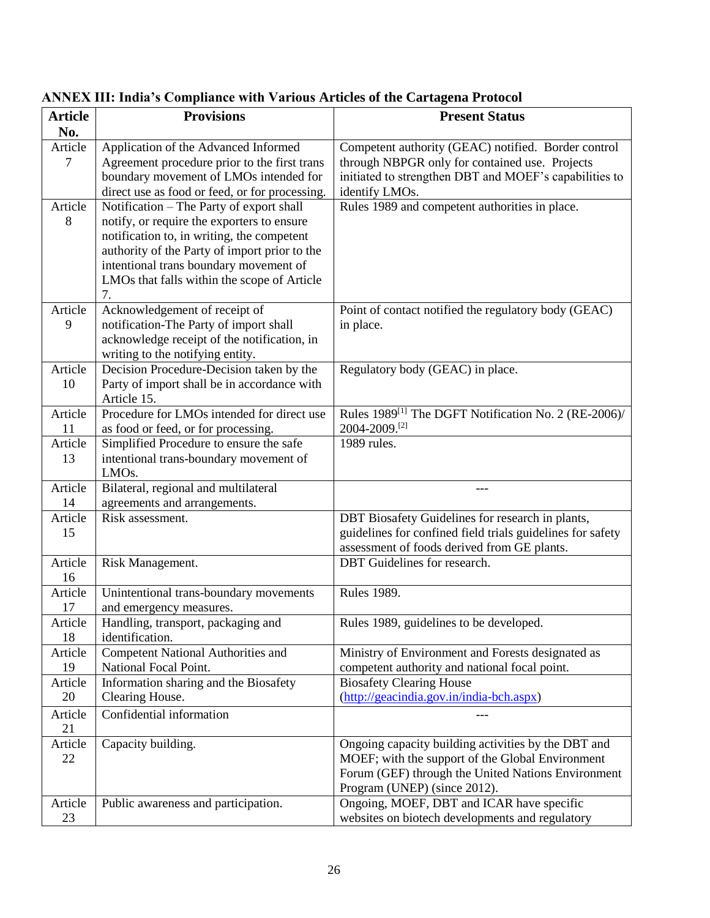| <b>Article</b> | <b>Provisions</b>                                            | <b>Present Status</b>                                                             |
|----------------|--------------------------------------------------------------|-----------------------------------------------------------------------------------|
| No.            |                                                              |                                                                                   |
| Article        | Application of the Advanced Informed                         | Competent authority (GEAC) notified. Border control                               |
| 7              | Agreement procedure prior to the first trans                 | through NBPGR only for contained use. Projects                                    |
|                | boundary movement of LMOs intended for                       | initiated to strengthen DBT and MOEF's capabilities to                            |
|                | direct use as food or feed, or for processing.               | identify LMOs.                                                                    |
| Article        | Notification – The Party of export shall                     | Rules 1989 and competent authorities in place.                                    |
| 8              | notify, or require the exporters to ensure                   |                                                                                   |
|                | notification to, in writing, the competent                   |                                                                                   |
|                | authority of the Party of import prior to the                |                                                                                   |
|                | intentional trans boundary movement of                       |                                                                                   |
|                | LMOs that falls within the scope of Article                  |                                                                                   |
|                | 7.                                                           |                                                                                   |
| Article        | Acknowledgement of receipt of                                | Point of contact notified the regulatory body (GEAC)                              |
| 9              | notification-The Party of import shall                       | in place.                                                                         |
|                | acknowledge receipt of the notification, in                  |                                                                                   |
|                | writing to the notifying entity.                             |                                                                                   |
| Article        | Decision Procedure-Decision taken by the                     | Regulatory body (GEAC) in place.                                                  |
| 10             | Party of import shall be in accordance with                  |                                                                                   |
|                | Article 15.                                                  |                                                                                   |
| Article        | Procedure for LMOs intended for direct use                   | Rules 1989 <sup>[1]</sup> The DGFT Notification No. 2 (RE-2006)/<br>2004-2009.[2] |
| 11             | as food or feed, or for processing.                          | 1989 rules.                                                                       |
| Article<br>13  | Simplified Procedure to ensure the safe                      |                                                                                   |
|                | intentional trans-boundary movement of<br>LMO <sub>s</sub> . |                                                                                   |
| Article        | Bilateral, regional and multilateral                         |                                                                                   |
| 14             | agreements and arrangements.                                 |                                                                                   |
| Article        | Risk assessment.                                             | DBT Biosafety Guidelines for research in plants,                                  |
| 15             |                                                              | guidelines for confined field trials guidelines for safety                        |
|                |                                                              | assessment of foods derived from GE plants.                                       |
| Article        | Risk Management.                                             | <b>DBT</b> Guidelines for research.                                               |
| 16             |                                                              |                                                                                   |
| Article        | Unintentional trans-boundary movements                       | <b>Rules 1989.</b>                                                                |
| 17             | and emergency measures.                                      |                                                                                   |
| Article        | Handling, transport, packaging and                           | Rules 1989, guidelines to be developed.                                           |
| 18             | identification.                                              |                                                                                   |
| Article        | Competent National Authorities and                           | Ministry of Environment and Forests designated as                                 |
| 19             | National Focal Point.                                        | competent authority and national focal point.                                     |
| Article        | Information sharing and the Biosafety                        | <b>Biosafety Clearing House</b>                                                   |
| 20             | Clearing House.                                              | (http://geacindia.gov.in/india-bch.aspx)                                          |
| Article        | Confidential information                                     |                                                                                   |
| 21             |                                                              |                                                                                   |
| Article        | Capacity building.                                           | Ongoing capacity building activities by the DBT and                               |
| 22             |                                                              | MOEF; with the support of the Global Environment                                  |
|                |                                                              | Forum (GEF) through the United Nations Environment                                |
|                |                                                              | Program (UNEP) (since 2012).                                                      |
| Article        | Public awareness and participation.                          | Ongoing, MOEF, DBT and ICAR have specific                                         |
| 23             |                                                              | websites on biotech developments and regulatory                                   |

# **ANNEX III: India's Compliance with Various Articles of the Cartagena Protocol**